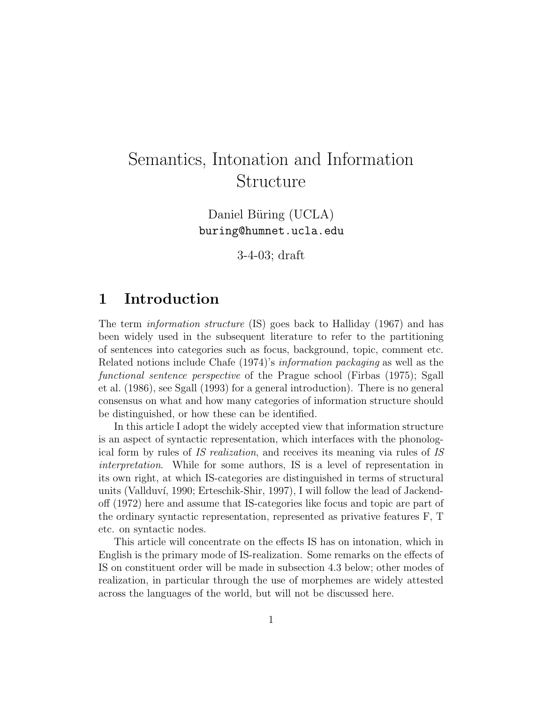# Semantics, Intonation and Information Structure

Daniel Büring (UCLA) buring@humnet.ucla.edu

3-4-03; draft

# 1 Introduction

The term information structure (IS) goes back to Halliday (1967) and has been widely used in the subsequent literature to refer to the partitioning of sentences into categories such as focus, background, topic, comment etc. Related notions include Chafe (1974)'s information packaging as well as the functional sentence perspective of the Prague school (Firbas (1975); Sgall et al. (1986), see Sgall (1993) for a general introduction). There is no general consensus on what and how many categories of information structure should be distinguished, or how these can be identified.

In this article I adopt the widely accepted view that information structure is an aspect of syntactic representation, which interfaces with the phonological form by rules of IS realization, and receives its meaning via rules of IS interpretation. While for some authors, IS is a level of representation in its own right, at which IS-categories are distinguished in terms of structural units (Vallduví, 1990; Erteschik-Shir, 1997), I will follow the lead of Jackendoff (1972) here and assume that IS-categories like focus and topic are part of the ordinary syntactic representation, represented as privative features F, T etc. on syntactic nodes.

This article will concentrate on the effects IS has on intonation, which in English is the primary mode of IS-realization. Some remarks on the effects of IS on constituent order will be made in subsection 4.3 below; other modes of realization, in particular through the use of morphemes are widely attested across the languages of the world, but will not be discussed here.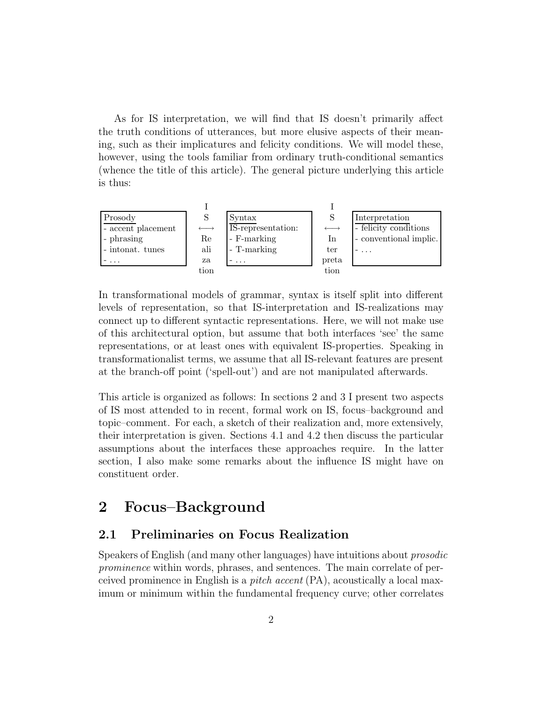As for IS interpretation, we will find that IS doesn't primarily affect the truth conditions of utterances, but more elusive aspects of their meaning, such as their implicatures and felicity conditions. We will model these, however, using the tools familiar from ordinary truth-conditional semantics (whence the title of this article). The general picture underlying this article is thus:



In transformational models of grammar, syntax is itself split into different levels of representation, so that IS-interpretation and IS-realizations may connect up to different syntactic representations. Here, we will not make use of this architectural option, but assume that both interfaces 'see' the same representations, or at least ones with equivalent IS-properties. Speaking in transformationalist terms, we assume that all IS-relevant features are present at the branch-off point ('spell-out') and are not manipulated afterwards.

This article is organized as follows: In sections 2 and 3 I present two aspects of IS most attended to in recent, formal work on IS, focus–background and topic–comment. For each, a sketch of their realization and, more extensively, their interpretation is given. Sections 4.1 and 4.2 then discuss the particular assumptions about the interfaces these approaches require. In the latter section, I also make some remarks about the influence IS might have on constituent order.

# 2 Focus–Background

### 2.1 Preliminaries on Focus Realization

Speakers of English (and many other languages) have intuitions about prosodic prominence within words, phrases, and sentences. The main correlate of perceived prominence in English is a pitch accent (PA), acoustically a local maximum or minimum within the fundamental frequency curve; other correlates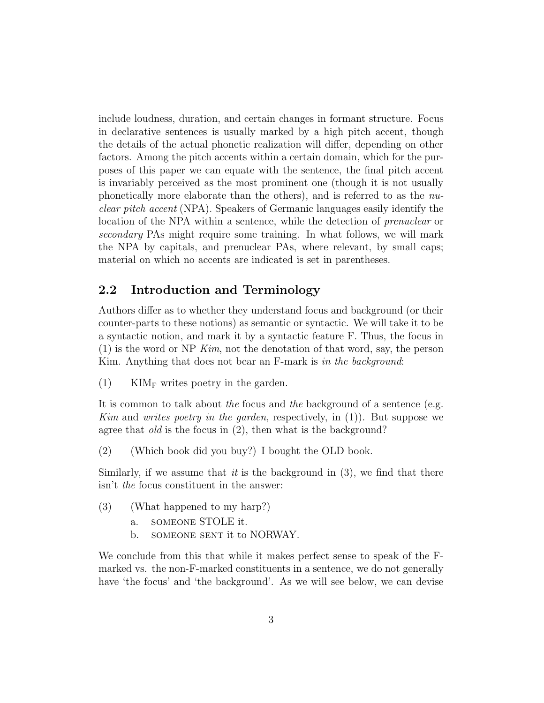include loudness, duration, and certain changes in formant structure. Focus in declarative sentences is usually marked by a high pitch accent, though the details of the actual phonetic realization will differ, depending on other factors. Among the pitch accents within a certain domain, which for the purposes of this paper we can equate with the sentence, the final pitch accent is invariably perceived as the most prominent one (though it is not usually phonetically more elaborate than the others), and is referred to as the nuclear pitch accent (NPA). Speakers of Germanic languages easily identify the location of the NPA within a sentence, while the detection of prenuclear or secondary PAs might require some training. In what follows, we will mark the NPA by capitals, and prenuclear PAs, where relevant, by small caps; material on which no accents are indicated is set in parentheses.

### 2.2 Introduction and Terminology

Authors differ as to whether they understand focus and background (or their counter-parts to these notions) as semantic or syntactic. We will take it to be a syntactic notion, and mark it by a syntactic feature F. Thus, the focus in  $(1)$  is the word or NP Kim, not the denotation of that word, say, the person Kim. Anything that does not bear an F-mark is in the background:

(1) KIM<sub>F</sub> writes poetry in the garden.

It is common to talk about the focus and the background of a sentence (e.g. Kim and writes poetry in the garden, respectively, in (1)). But suppose we agree that *old* is the focus in (2), then what is the background?

(2) (Which book did you buy?) I bought the OLD book.

Similarly, if we assume that *it* is the background in  $(3)$ , we find that there isn't the focus constituent in the answer:

- (3) (What happened to my harp?)
	- a. someone STOLE it.
	- b. SOMEONE SENT it to NORWAY.

We conclude from this that while it makes perfect sense to speak of the Fmarked vs. the non-F-marked constituents in a sentence, we do not generally have 'the focus' and 'the background'. As we will see below, we can devise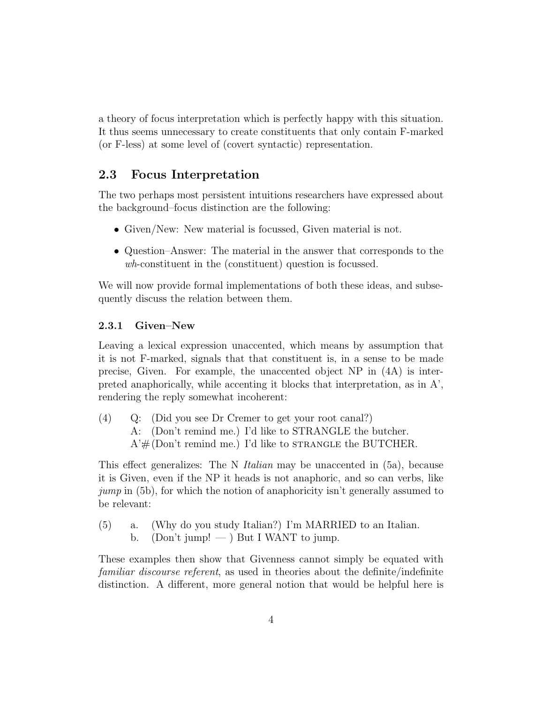a theory of focus interpretation which is perfectly happy with this situation. It thus seems unnecessary to create constituents that only contain F-marked (or F-less) at some level of (covert syntactic) representation.

### 2.3 Focus Interpretation

The two perhaps most persistent intuitions researchers have expressed about the background–focus distinction are the following:

- Given/New: New material is focussed, Given material is not.
- Question–Answer: The material in the answer that corresponds to the wh-constituent in the (constituent) question is focussed.

We will now provide formal implementations of both these ideas, and subsequently discuss the relation between them.

#### 2.3.1 Given–New

Leaving a lexical expression unaccented, which means by assumption that it is not F-marked, signals that that constituent is, in a sense to be made precise, Given. For example, the unaccented object NP in (4A) is interpreted anaphorically, while accenting it blocks that interpretation, as in A', rendering the reply somewhat incoherent:

(4) Q: (Did you see Dr Cremer to get your root canal?) A: (Don't remind me.) I'd like to STRANGLE the butcher.  $A'# (Don't remind me.)$  I'd like to strangle the BUTCHER.

This effect generalizes: The N Italian may be unaccented in (5a), because it is Given, even if the NP it heads is not anaphoric, and so can verbs, like jump in (5b), for which the notion of anaphoricity isn't generally assumed to be relevant:

(5) a. (Why do you study Italian?) I'm MARRIED to an Italian. b. (Don't jump!  $-$  ) But I WANT to jump.

These examples then show that Givenness cannot simply be equated with familiar discourse referent, as used in theories about the definite/indefinite distinction. A different, more general notion that would be helpful here is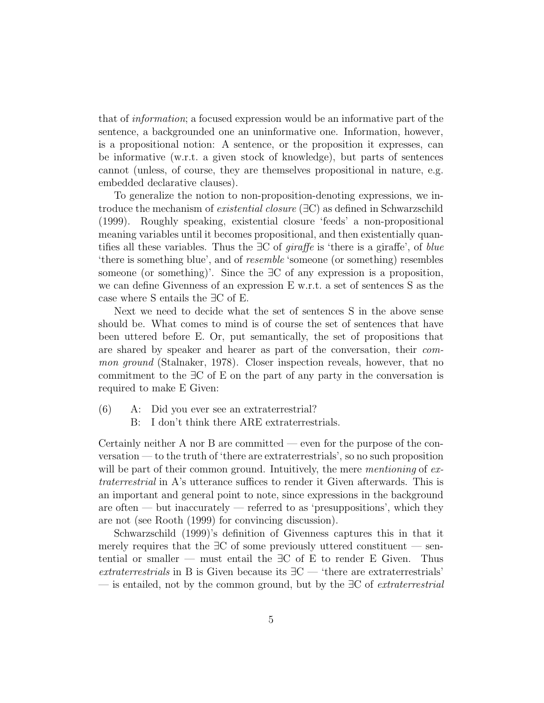that of information; a focused expression would be an informative part of the sentence, a backgrounded one an uninformative one. Information, however, is a propositional notion: A sentence, or the proposition it expresses, can be informative (w.r.t. a given stock of knowledge), but parts of sentences cannot (unless, of course, they are themselves propositional in nature, e.g. embedded declarative clauses).

To generalize the notion to non-proposition-denoting expressions, we introduce the mechanism of *existential closure* ( $\exists C$ ) as defined in Schwarzschild (1999). Roughly speaking, existential closure 'feeds' a non-propositional meaning variables until it becomes propositional, and then existentially quantifies all these variables. Thus the  $\exists C$  of *giraffe* is 'there is a giraffe', of *blue* 'there is something blue', and of resemble 'someone (or something) resembles someone (or something)'. Since the ∃C of any expression is a proposition, we can define Givenness of an expression E w.r.t. a set of sentences S as the case where S entails the ∃C of E.

Next we need to decide what the set of sentences S in the above sense should be. What comes to mind is of course the set of sentences that have been uttered before E. Or, put semantically, the set of propositions that are shared by speaker and hearer as part of the conversation, their common ground (Stalnaker, 1978). Closer inspection reveals, however, that no commitment to the ∃C of E on the part of any party in the conversation is required to make E Given:

(6) A: Did you ever see an extraterrestrial? B: I don't think there ARE extraterrestrials.

Certainly neither A nor B are committed — even for the purpose of the conversation — to the truth of 'there are extraterrestrials', so no such proposition will be part of their common ground. Intuitively, the mere *mentioning* of extraterrestrial in A's utterance suffices to render it Given afterwards. This is an important and general point to note, since expressions in the background are often — but inaccurately — referred to as 'presuppositions', which they are not (see Rooth (1999) for convincing discussion).

Schwarzschild (1999)'s definition of Givenness captures this in that it merely requires that the  $\exists C$  of some previously uttered constituent — sentential or smaller — must entail the  $\exists C$  of E to render E Given. Thus extraterrestrials in B is Given because its  $\exists C$  — 'there are extraterrestrials' — is entailed, not by the common ground, but by the  $\exists C$  of *extraterrestrial*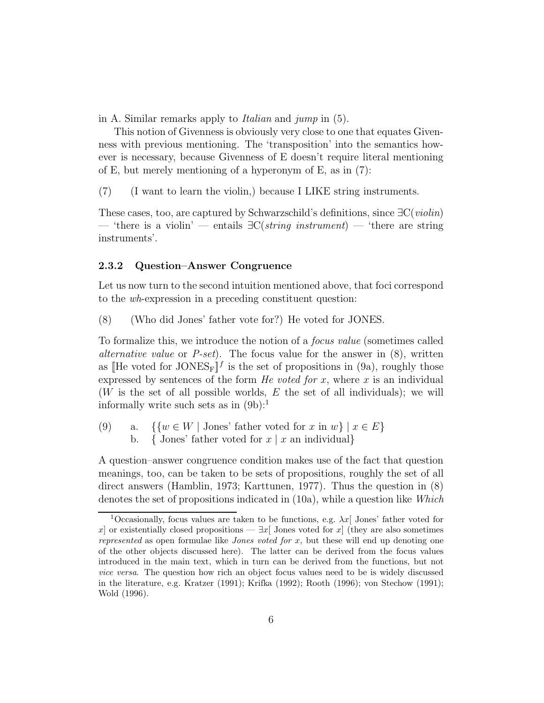in A. Similar remarks apply to Italian and jump in (5).

This notion of Givenness is obviously very close to one that equates Givenness with previous mentioning. The 'transposition' into the semantics however is necessary, because Givenness of E doesn't require literal mentioning of E, but merely mentioning of a hyperonym of E, as in (7):

(7) (I want to learn the violin,) because I LIKE string instruments.

These cases, too, are captured by Schwarzschild's definitions, since ∃C(violin) — 'there is a violin' — entails  $\exists C (string\ instrument)$  — 'there are string instruments'.

#### 2.3.2 Question–Answer Congruence

Let us now turn to the second intuition mentioned above, that foci correspond to the wh-expression in a preceding constituent question:

(8) (Who did Jones' father vote for?) He voted for JONES.

To formalize this, we introduce the notion of a focus value (sometimes called alternative value or P-set). The focus value for the answer in  $(8)$ , written as [He voted for JONES<sub>F</sub>]<sup> $f$ </sup> is the set of propositions in (9a), roughly those expressed by sentences of the form *He voted for x*, where x is an individual  $(W$  is the set of all possible worlds, E the set of all individuals); we will informally write such sets as in  $(9b)$ :<sup>1</sup>

(9) a. { $\{w \in W \mid \text{Jones'} \text{ father voted for } x \text{ in } w\} \mid x \in E\}$ b. { Jones' father voted for  $x | x$  an individual}

A question–answer congruence condition makes use of the fact that question meanings, too, can be taken to be sets of propositions, roughly the set of all direct answers (Hamblin, 1973; Karttunen, 1977). Thus the question in (8) denotes the set of propositions indicated in (10a), while a question like Which

<sup>&</sup>lt;sup>1</sup>Occasionally, focus values are taken to be functions, e.g.  $\lambda x$  Jones' father voted for x] or existentially closed propositions —  $\exists x$ [ Jones voted for x] (they are also sometimes represented as open formulae like Jones voted for x, but these will end up denoting one of the other objects discussed here). The latter can be derived from the focus values introduced in the main text, which in turn can be derived from the functions, but not vice versa. The question how rich an object focus values need to be is widely discussed in the literature, e.g. Kratzer (1991); Krifka (1992); Rooth (1996); von Stechow (1991); Wold (1996).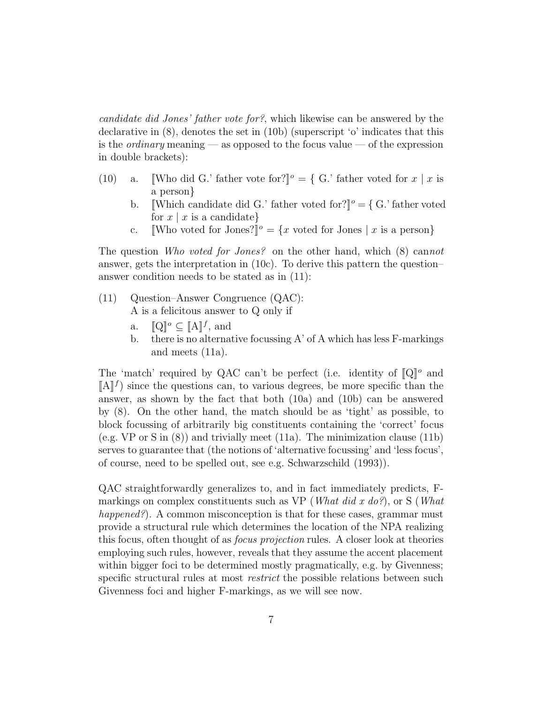candidate did Jones' father vote for?, which likewise can be answered by the declarative in (8), denotes the set in (10b) (superscript 'o' indicates that this is the *ordinary* meaning — as opposed to the focus value — of the expression in double brackets):

- (10) a. Who did G.' father vote for? $\mathbb{I}^{\circ} = \{ G$ .' father voted for  $x \mid x$  is a person}
	- b. Which candidate did G.' father voted for? $\mathcal{C} = \{ G$ .' father voted for  $x \mid x$  is a candidate}
	- c. Who voted for Jones?]<sup> $\circ$ </sup> = {x voted for Jones | x is a person}

The question Who voted for Jones? on the other hand, which (8) cannot answer, gets the interpretation in (10c). To derive this pattern the question– answer condition needs to be stated as in (11):

- (11) Question–Answer Congruence (QAC): A is a felicitous answer to Q only if
	- a.  $[\![Q]\!]^\rho \subseteq [\![A]\!]^f$ , and
	- b. there is no alternative focussing  $A'$  of A which has less F-markings and meets (11a).

The 'match' required by QAC can't be perfect (i.e. identity of  $\llbracket Q \rrbracket^o$  and  $[\![A]\!]$ <sup>f</sup>) since the questions can, to various degrees, be more specific than the answer, as shown by the fact that both (10a) and (10b) can be answered by (8). On the other hand, the match should be as 'tight' as possible, to block focussing of arbitrarily big constituents containing the 'correct' focus (e.g. VP or S in (8)) and trivially meet (11a). The minimization clause (11b) serves to guarantee that (the notions of 'alternative focussing' and 'less focus', of course, need to be spelled out, see e.g. Schwarzschild (1993)).

QAC straightforwardly generalizes to, and in fact immediately predicts, Fmarkings on complex constituents such as VP (*What did x do?*), or S (*What* happened?). A common misconception is that for these cases, grammar must provide a structural rule which determines the location of the NPA realizing this focus, often thought of as focus projection rules. A closer look at theories employing such rules, however, reveals that they assume the accent placement within bigger foci to be determined mostly pragmatically, e.g. by Givenness; specific structural rules at most restrict the possible relations between such Givenness foci and higher F-markings, as we will see now.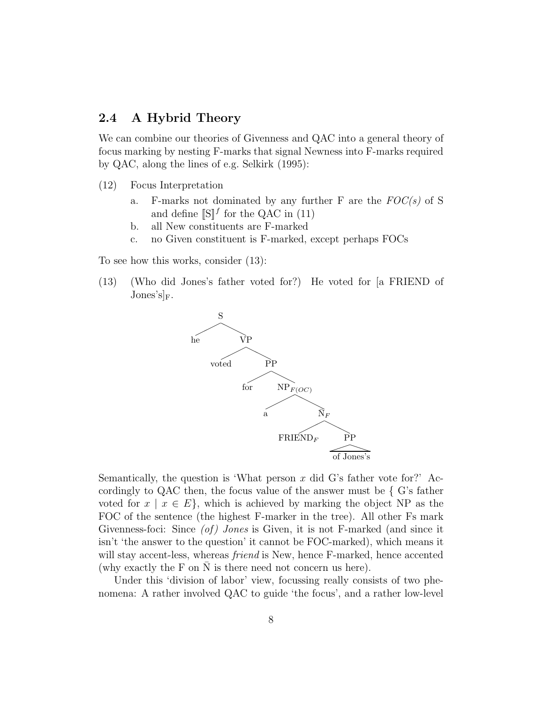#### 2.4 A Hybrid Theory

We can combine our theories of Givenness and QAC into a general theory of focus marking by nesting F-marks that signal Newness into F-marks required by QAC, along the lines of e.g. Selkirk (1995):

- (12) Focus Interpretation
	- a. F-marks not dominated by any further  $F$  are the  $FOC(s)$  of S and define  $[\S]^{f}$  for the QAC in (11)
	- b. all New constituents are F-marked
	- c. no Given constituent is F-marked, except perhaps FOCs

To see how this works, consider (13):

(13) (Who did Jones's father voted for?) He voted for [a FRIEND of  $Jones's]_F.$ 



Semantically, the question is 'What person  $x$  did G's father vote for?' Accordingly to QAC then, the focus value of the answer must be  $\{$  G's father voted for  $x \mid x \in E$ , which is achieved by marking the object NP as the FOC of the sentence (the highest F-marker in the tree). All other Fs mark Givenness-foci: Since  $(of)$  Jones is Given, it is not F-marked (and since it isn't 'the answer to the question' it cannot be FOC-marked), which means it will stay accent-less, whereas *friend* is New, hence F-marked, hence accented (why exactly the F on  $\overline{N}$  is there need not concern us here).

Under this 'division of labor' view, focussing really consists of two phenomena: A rather involved QAC to guide 'the focus', and a rather low-level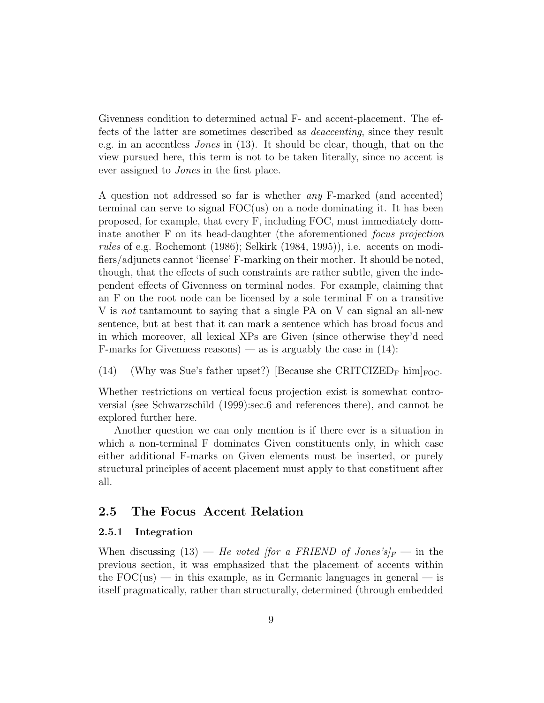Givenness condition to determined actual F- and accent-placement. The effects of the latter are sometimes described as deaccenting, since they result e.g. in an accentless Jones in (13). It should be clear, though, that on the view pursued here, this term is not to be taken literally, since no accent is ever assigned to Jones in the first place.

A question not addressed so far is whether any F-marked (and accented) terminal can serve to signal FOC(us) on a node dominating it. It has been proposed, for example, that every F, including FOC, must immediately dominate another F on its head-daughter (the aforementioned *focus projection* rules of e.g. Rochemont (1986); Selkirk (1984, 1995)), i.e. accents on modifiers/adjuncts cannot 'license' F-marking on their mother. It should be noted, though, that the effects of such constraints are rather subtle, given the independent effects of Givenness on terminal nodes. For example, claiming that an F on the root node can be licensed by a sole terminal F on a transitive V is not tantamount to saying that a single PA on V can signal an all-new sentence, but at best that it can mark a sentence which has broad focus and in which moreover, all lexical XPs are Given (since otherwise they'd need F-marks for Givenness reasons) — as is arguably the case in  $(14)$ :

(14) (Why was Sue's father upset?) [Because she CRITCIZED<sub>F</sub> him]<sub>FOC</sub>.

Whether restrictions on vertical focus projection exist is somewhat controversial (see Schwarzschild (1999):sec.6 and references there), and cannot be explored further here.

Another question we can only mention is if there ever is a situation in which a non-terminal F dominates Given constituents only, in which case either additional F-marks on Given elements must be inserted, or purely structural principles of accent placement must apply to that constituent after all.

### 2.5 The Focus–Accent Relation

#### 2.5.1 Integration

When discussing (13) — He voted [for a FRIEND of Jones's]<sub>F</sub> — in the previous section, it was emphasized that the placement of accents within the  $FOC(us)$  — in this example, as in Germanic languages in general — is itself pragmatically, rather than structurally, determined (through embedded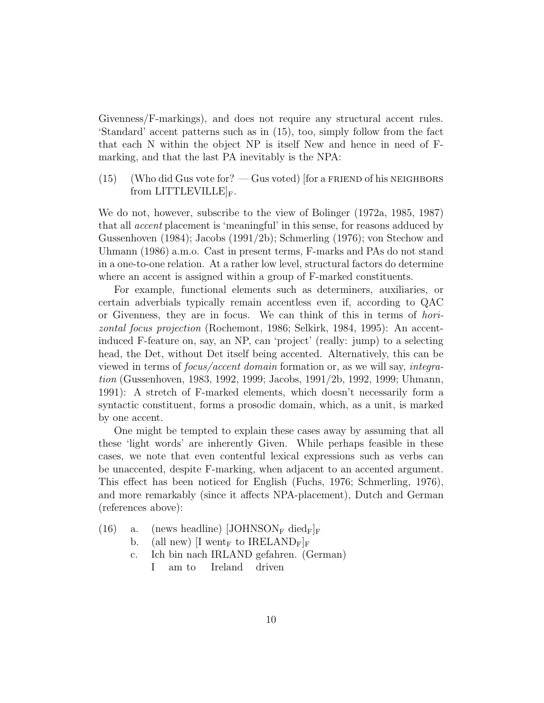Givenness/F-markings), and does not require any structural accent rules. 'Standard' accent patterns such as in (15), too, simply follow from the fact that each N within the object NP is itself New and hence in need of Fmarking, and that the last PA inevitably is the NPA:

 $(15)$  (Who did Gus vote for?  $-$  Gus voted) [for a FRIEND of his NEIGHBORS from LITTLEVILLE $\vert_F$ .

We do not, however, subscribe to the view of Bolinger (1972a, 1985, 1987) that all accent placement is 'meaningful' in this sense, for reasons adduced by Gussenhoven (1984); Jacobs (1991/2b); Schmerling (1976); von Stechow and Uhmann (1986) a.m.o. Cast in present terms, F-marks and PAs do not stand in a one-to-one relation. At a rather low level, structural factors do determine where an accent is assigned within a group of F-marked constituents.

For example, functional elements such as determiners, auxiliaries, or certain adverbials typically remain accentless even if, according to QAC or Givenness, they are in focus. We can think of this in terms of horizontal focus projection (Rochemont, 1986; Selkirk, 1984, 1995): An accentinduced F-feature on, say, an NP, can 'project' (really: jump) to a selecting head, the Det, without Det itself being accented. Alternatively, this can be viewed in terms of focus/accent domain formation or, as we will say, integration (Gussenhoven, 1983, 1992, 1999; Jacobs, 1991/2b, 1992, 1999; Uhmann, 1991): A stretch of F-marked elements, which doesn't necessarily form a syntactic constituent, forms a prosodic domain, which, as a unit, is marked by one accent.

One might be tempted to explain these cases away by assuming that all these 'light words' are inherently Given. While perhaps feasible in these cases, we note that even contentful lexical expressions such as verbs can be unaccented, despite F-marking, when adjacent to an accented argument. This effect has been noticed for English (Fuchs, 1976; Schmerling, 1976), and more remarkably (since it affects NPA-placement), Dutch and German (references above):

- (16) a. (news headline)  $\text{JOHNSON}_F \text{ died}_F|_F$ 
	- b. (all new)  $[I \text{ went}_F \text{ to } IRELAND_F]_F$
	- c. Ich bin nach IRLAND gefahren. (German) I am to Ireland driven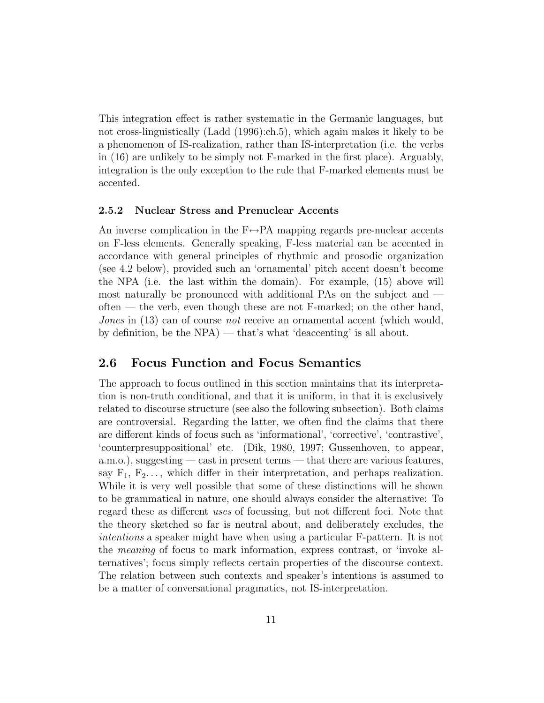This integration effect is rather systematic in the Germanic languages, but not cross-linguistically (Ladd (1996):ch.5), which again makes it likely to be a phenomenon of IS-realization, rather than IS-interpretation (i.e. the verbs in (16) are unlikely to be simply not F-marked in the first place). Arguably, integration is the only exception to the rule that F-marked elements must be accented.

#### 2.5.2 Nuclear Stress and Prenuclear Accents

An inverse complication in the  $F \leftrightarrow PA$  mapping regards pre-nuclear accents on F-less elements. Generally speaking, F-less material can be accented in accordance with general principles of rhythmic and prosodic organization (see 4.2 below), provided such an 'ornamental' pitch accent doesn't become the NPA (i.e. the last within the domain). For example, (15) above will most naturally be pronounced with additional PAs on the subject and often — the verb, even though these are not F-marked; on the other hand, Jones in (13) can of course not receive an ornamental accent (which would, by definition, be the NPA) — that's what 'deaccenting' is all about.

#### 2.6 Focus Function and Focus Semantics

The approach to focus outlined in this section maintains that its interpretation is non-truth conditional, and that it is uniform, in that it is exclusively related to discourse structure (see also the following subsection). Both claims are controversial. Regarding the latter, we often find the claims that there are different kinds of focus such as 'informational', 'corrective', 'contrastive', 'counterpresuppositional' etc. (Dik, 1980, 1997; Gussenhoven, to appear, a.m.o.), suggesting — cast in present terms — that there are various features, say  $F_1, F_2, \ldots$ , which differ in their interpretation, and perhaps realization. While it is very well possible that some of these distinctions will be shown to be grammatical in nature, one should always consider the alternative: To regard these as different uses of focussing, but not different foci. Note that the theory sketched so far is neutral about, and deliberately excludes, the intentions a speaker might have when using a particular F-pattern. It is not the meaning of focus to mark information, express contrast, or 'invoke alternatives'; focus simply reflects certain properties of the discourse context. The relation between such contexts and speaker's intentions is assumed to be a matter of conversational pragmatics, not IS-interpretation.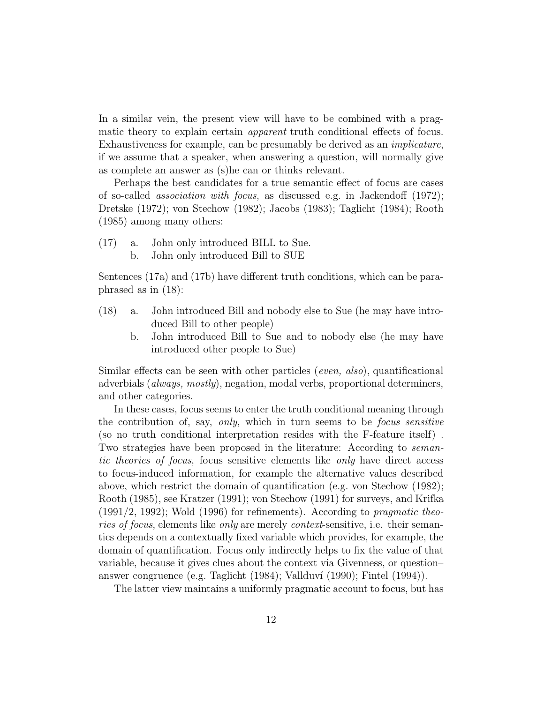In a similar vein, the present view will have to be combined with a pragmatic theory to explain certain apparent truth conditional effects of focus. Exhaustiveness for example, can be presumably be derived as an implicature, if we assume that a speaker, when answering a question, will normally give as complete an answer as (s)he can or thinks relevant.

Perhaps the best candidates for a true semantic effect of focus are cases of so-called association with focus, as discussed e.g. in Jackendoff (1972); Dretske (1972); von Stechow (1982); Jacobs (1983); Taglicht (1984); Rooth (1985) among many others:

- (17) a. John only introduced BILL to Sue.
	- b. John only introduced Bill to SUE

Sentences (17a) and (17b) have different truth conditions, which can be paraphrased as in (18):

- (18) a. John introduced Bill and nobody else to Sue (he may have introduced Bill to other people)
	- b. John introduced Bill to Sue and to nobody else (he may have introduced other people to Sue)

Similar effects can be seen with other particles (even, also), quantificational adverbials (always, mostly), negation, modal verbs, proportional determiners, and other categories.

In these cases, focus seems to enter the truth conditional meaning through the contribution of, say, only, which in turn seems to be focus sensitive (so no truth conditional interpretation resides with the F-feature itself) . Two strategies have been proposed in the literature: According to semantic theories of focus, focus sensitive elements like only have direct access to focus-induced information, for example the alternative values described above, which restrict the domain of quantification (e.g. von Stechow (1982); Rooth (1985), see Kratzer (1991); von Stechow (1991) for surveys, and Krifka  $(1991/2, 1992)$ ; Wold  $(1996)$  for refinements). According to *pragmatic theo*ries of focus, elements like only are merely context-sensitive, i.e. their semantics depends on a contextually fixed variable which provides, for example, the domain of quantification. Focus only indirectly helps to fix the value of that variable, because it gives clues about the context via Givenness, or question– answer congruence (e.g. Taglicht  $(1984)$ ; Vallduví  $(1990)$ ; Fintel  $(1994)$ ).

The latter view maintains a uniformly pragmatic account to focus, but has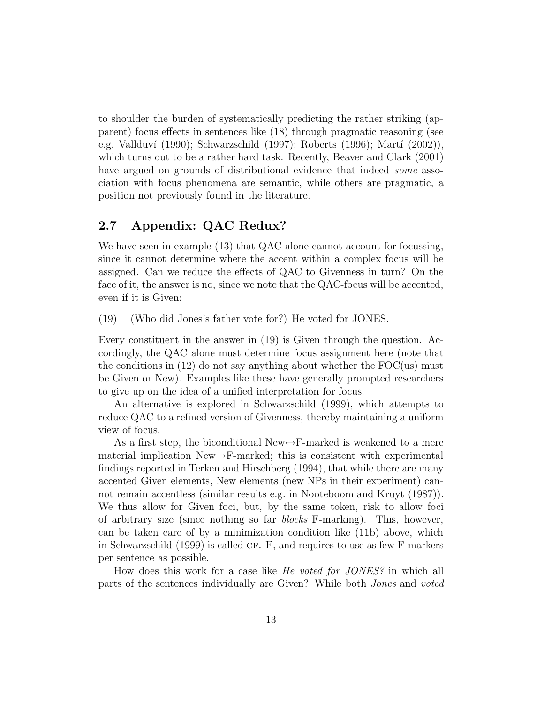to shoulder the burden of systematically predicting the rather striking (apparent) focus effects in sentences like (18) through pragmatic reasoning (see e.g. Vallduví (1990); Schwarzschild (1997); Roberts (1996); Martí (2002)), which turns out to be a rather hard task. Recently, Beaver and Clark (2001) have argued on grounds of distributional evidence that indeed *some* association with focus phenomena are semantic, while others are pragmatic, a position not previously found in the literature.

### 2.7 Appendix: QAC Redux?

We have seen in example (13) that QAC alone cannot account for focussing, since it cannot determine where the accent within a complex focus will be assigned. Can we reduce the effects of QAC to Givenness in turn? On the face of it, the answer is no, since we note that the QAC-focus will be accented, even if it is Given:

(19) (Who did Jones's father vote for?) He voted for JONES.

Every constituent in the answer in (19) is Given through the question. Accordingly, the QAC alone must determine focus assignment here (note that the conditions in  $(12)$  do not say anything about whether the  $FOC(us)$  must be Given or New). Examples like these have generally prompted researchers to give up on the idea of a unified interpretation for focus.

An alternative is explored in Schwarzschild (1999), which attempts to reduce QAC to a refined version of Givenness, thereby maintaining a uniform view of focus.

As a first step, the biconditional New $\leftrightarrow$ F-marked is weakened to a mere material implication  $New \rightarrow F-marked$ ; this is consistent with experimental findings reported in Terken and Hirschberg (1994), that while there are many accented Given elements, New elements (new NPs in their experiment) cannot remain accentless (similar results e.g. in Nooteboom and Kruyt (1987)). We thus allow for Given foci, but, by the same token, risk to allow foci of arbitrary size (since nothing so far blocks F-marking). This, however, can be taken care of by a minimization condition like (11b) above, which in Schwarzschild  $(1999)$  is called CF. F, and requires to use as few F-markers per sentence as possible.

How does this work for a case like He voted for JONES? in which all parts of the sentences individually are Given? While both Jones and voted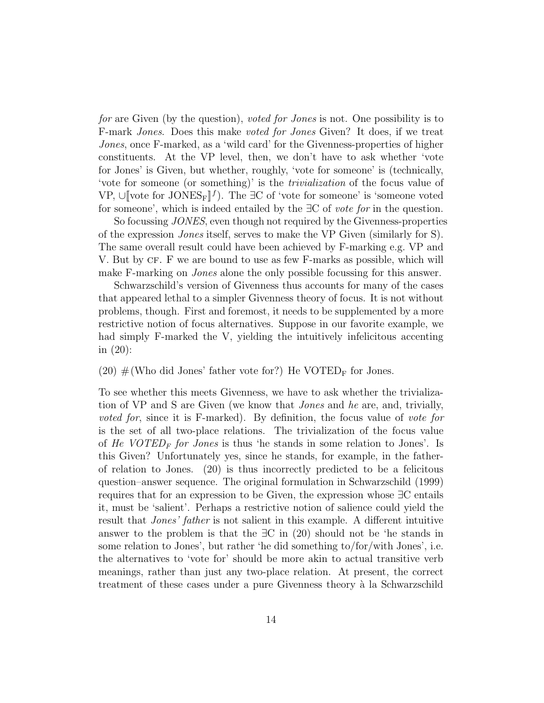for are Given (by the question), voted for Jones is not. One possibility is to F-mark Jones. Does this make voted for Jones Given? It does, if we treat Jones, once F-marked, as a 'wild card' for the Givenness-properties of higher constituents. At the VP level, then, we don't have to ask whether 'vote for Jones' is Given, but whether, roughly, 'vote for someone' is (technically, 'vote for someone (or something)' is the trivialization of the focus value of VP, ∪[vote for JONES<sub>F</sub>]<sup> $f$ </sup>). The ∃C of 'vote for someone' is 'someone voted for someone', which is indeed entailed by the  $\exists C$  of vote for in the question.

So focussing JONES, even though not required by the Givenness-properties of the expression Jones itself, serves to make the VP Given (similarly for S). The same overall result could have been achieved by F-marking e.g. VP and V. But by CF. F we are bound to use as few F-marks as possible, which will make F-marking on Jones alone the only possible focussing for this answer.

Schwarzschild's version of Givenness thus accounts for many of the cases that appeared lethal to a simpler Givenness theory of focus. It is not without problems, though. First and foremost, it needs to be supplemented by a more restrictive notion of focus alternatives. Suppose in our favorite example, we had simply F-marked the V, yielding the intuitively infelicitous accenting in (20):

(20)  $\#$ (Who did Jones' father vote for?) He VOTED<sub>F</sub> for Jones.

To see whether this meets Givenness, we have to ask whether the trivialization of VP and S are Given (we know that Jones and he are, and, trivially, voted for, since it is F-marked). By definition, the focus value of vote for is the set of all two-place relations. The trivialization of the focus value of He VOTED<sub>F</sub> for Jones is thus 'he stands in some relation to Jones'. Is this Given? Unfortunately yes, since he stands, for example, in the fatherof relation to Jones. (20) is thus incorrectly predicted to be a felicitous question–answer sequence. The original formulation in Schwarzschild (1999) requires that for an expression to be Given, the expression whose ∃C entails it, must be 'salient'. Perhaps a restrictive notion of salience could yield the result that Jones' father is not salient in this example. A different intuitive answer to the problem is that the  $\exists C$  in (20) should not be 'he stands in some relation to Jones', but rather 'he did something to/for/with Jones', i.e. the alternatives to 'vote for' should be more akin to actual transitive verb meanings, rather than just any two-place relation. At present, the correct treatment of these cases under a pure Givenness theory à la Schwarzschild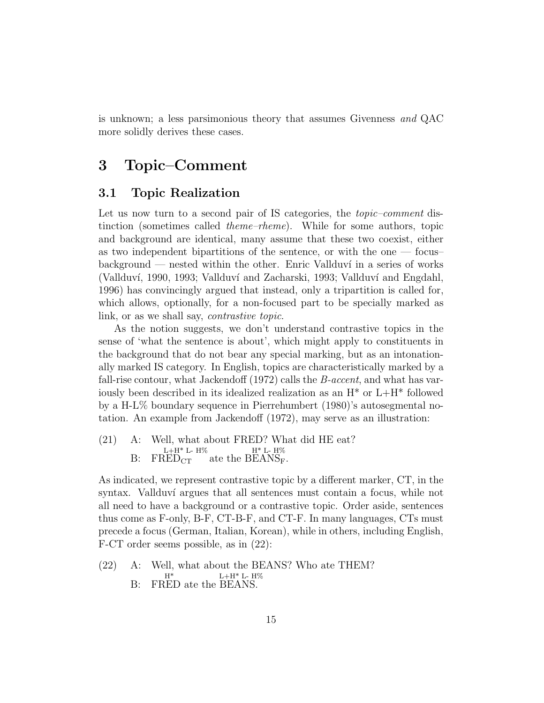is unknown; a less parsimonious theory that assumes Givenness and QAC more solidly derives these cases.

## 3 Topic–Comment

#### 3.1 Topic Realization

Let us now turn to a second pair of IS categories, the *topic–comment* distinction (sometimes called theme–rheme). While for some authors, topic and background are identical, many assume that these two coexist, either as two independent bipartitions of the sentence, or with the one  $-$  focus  $\rm background$  — nested within the other. Enric Vallduví in a series of works (Vallduví, 1990, 1993; Vallduví and Zacharski, 1993; Vallduví and Engdahl, 1996) has convincingly argued that instead, only a tripartition is called for, which allows, optionally, for a non-focused part to be specially marked as link, or as we shall say, *contrastive topic*.

As the notion suggests, we don't understand contrastive topics in the sense of 'what the sentence is about', which might apply to constituents in the background that do not bear any special marking, but as an intonationally marked IS category. In English, topics are characteristically marked by a fall-rise contour, what Jackendoff (1972) calls the *B*-accent, and what has variously been described in its idealized realization as an  $H^*$  or  $L+H^*$  followed by a H-L% boundary sequence in Pierrehumbert (1980)'s autosegmental notation. An example from Jackendoff (1972), may serve as an illustration:

(21) A: Well, what about FRED? What did HE eat?  $B: FRED_{CT}$  $L+H^*$  L-  $H\%$  $ED_{CT}$  ate the  $BEANS_F$ .  $H^*$  L-  $H\%$ 

As indicated, we represent contrastive topic by a different marker, CT, in the syntax. Vallduví argues that all sentences must contain a focus, while not all need to have a background or a contrastive topic. Order aside, sentences thus come as F-only, B-F, CT-B-F, and CT-F. In many languages, CTs must precede a focus (German, Italian, Korean), while in others, including English, F-CT order seems possible, as in (22):

(22) A: Well, what about the BEANS? Who ate THEM? B: FR ED ate the B EANS. H\*  $L+H^*$  L-  $H\%$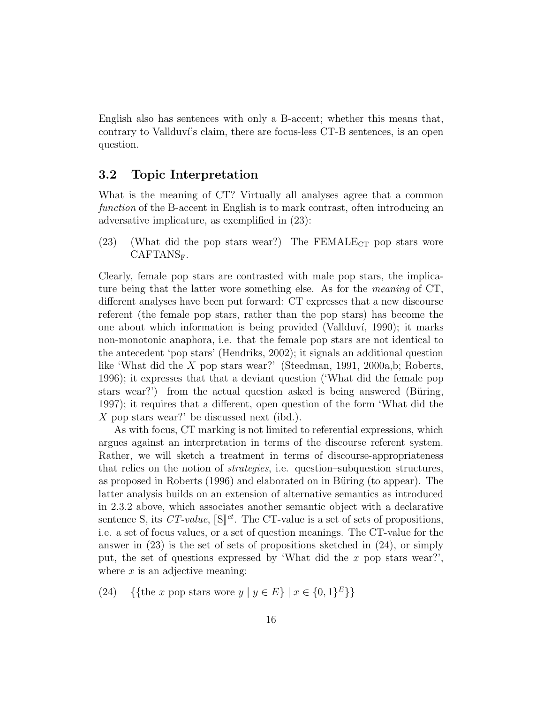English also has sentences with only a B-accent; whether this means that, contrary to Vallduvi's claim, there are focus-less CT-B sentences, is an open question.

#### 3.2 Topic Interpretation

What is the meaning of CT? Virtually all analyses agree that a common function of the B-accent in English is to mark contrast, often introducing an adversative implicature, as exemplified in (23):

(23) (What did the pop stars wear?) The FEMALE<sub>CT</sub> pop stars wore CAFTANS<sub>F</sub>.

Clearly, female pop stars are contrasted with male pop stars, the implicature being that the latter wore something else. As for the meaning of CT, different analyses have been put forward: CT expresses that a new discourse referent (the female pop stars, rather than the pop stars) has become the one about which information is being provided (Vallduv´ı, 1990); it marks non-monotonic anaphora, i.e. that the female pop stars are not identical to the antecedent 'pop stars' (Hendriks, 2002); it signals an additional question like 'What did the X pop stars wear?' (Steedman, 1991, 2000a,b; Roberts, 1996); it expresses that that a deviant question ('What did the female pop stars wear?') from the actual question asked is being answered (Büring, 1997); it requires that a different, open question of the form 'What did the X pop stars wear?' be discussed next (ibd.).

As with focus, CT marking is not limited to referential expressions, which argues against an interpretation in terms of the discourse referent system. Rather, we will sketch a treatment in terms of discourse-appropriateness that relies on the notion of strategies, i.e. question–subquestion structures, as proposed in Roberts (1996) and elaborated on in Büring (to appear). The latter analysis builds on an extension of alternative semantics as introduced in 2.3.2 above, which associates another semantic object with a declarative sentence S, its  $CT\text{-}value$ ,  $[\mathbb{S}]^{ct}$ . The CT-value is a set of sets of propositions, i.e. a set of focus values, or a set of question meanings. The CT-value for the answer in (23) is the set of sets of propositions sketched in (24), or simply put, the set of questions expressed by 'What did the x pop stars wear?', where  $x$  is an adjective meaning:

(24) {{the x pop stars wore  $y | y \in E$ } |  $x \in \{0, 1\}^E$ }}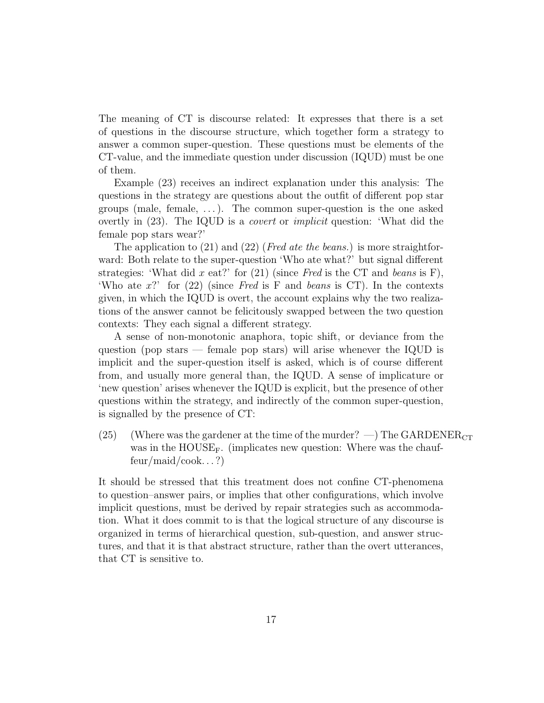The meaning of CT is discourse related: It expresses that there is a set of questions in the discourse structure, which together form a strategy to answer a common super-question. These questions must be elements of the CT-value, and the immediate question under discussion (IQUD) must be one of them.

Example (23) receives an indirect explanation under this analysis: The questions in the strategy are questions about the outfit of different pop star groups (male, female, . . . ). The common super-question is the one asked overtly in (23). The IQUD is a covert or implicit question: 'What did the female pop stars wear?'

The application to  $(21)$  and  $(22)$  (*Fred ate the beans.*) is more straightforward: Both relate to the super-question 'Who ate what?' but signal different strategies: 'What did x eat?' for  $(21)$  (since Fred is the CT and beans is F), 'Who ate  $x$ '' for (22) (since Fred is F and beans is CT). In the contexts given, in which the IQUD is overt, the account explains why the two realizations of the answer cannot be felicitously swapped between the two question contexts: They each signal a different strategy.

A sense of non-monotonic anaphora, topic shift, or deviance from the question (pop stars — female pop stars) will arise whenever the IQUD is implicit and the super-question itself is asked, which is of course different from, and usually more general than, the IQUD. A sense of implicature or 'new question' arises whenever the IQUD is explicit, but the presence of other questions within the strategy, and indirectly of the common super-question, is signalled by the presence of CT:

(25) (Where was the gardener at the time of the murder?  $-$ ) The GARDENER<sub>CT</sub> was in the  $\text{HOUSE}_F$ . (implicates new question: Where was the chauffeur/maid/cook. . . ?)

It should be stressed that this treatment does not confine CT-phenomena to question–answer pairs, or implies that other configurations, which involve implicit questions, must be derived by repair strategies such as accommodation. What it does commit to is that the logical structure of any discourse is organized in terms of hierarchical question, sub-question, and answer structures, and that it is that abstract structure, rather than the overt utterances, that CT is sensitive to.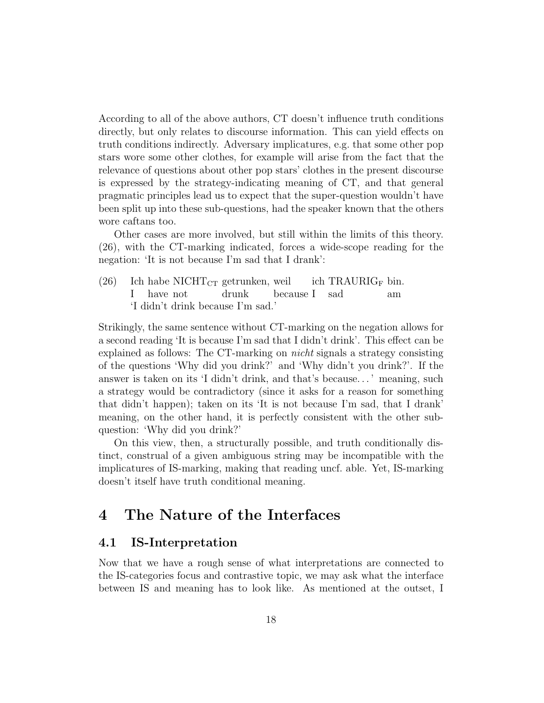According to all of the above authors, CT doesn't influence truth conditions directly, but only relates to discourse information. This can yield effects on truth conditions indirectly. Adversary implicatures, e.g. that some other pop stars wore some other clothes, for example will arise from the fact that the relevance of questions about other pop stars' clothes in the present discourse is expressed by the strategy-indicating meaning of CT, and that general pragmatic principles lead us to expect that the super-question wouldn't have been split up into these sub-questions, had the speaker known that the others wore caftans too.

Other cases are more involved, but still within the limits of this theory. (26), with the CT-marking indicated, forces a wide-scope reading for the negation: 'It is not because I'm sad that I drank':

 $(26)$ I habe NICHT $_{\rm CT}$  getrunken, weil have not drunk because I ich TRAURIG<sup>F</sup> bin. sad am 'I didn't drink because I'm sad.'

Strikingly, the same sentence without CT-marking on the negation allows for a second reading 'It is because I'm sad that I didn't drink'. This effect can be explained as follows: The CT-marking on nicht signals a strategy consisting of the questions 'Why did you drink?' and 'Why didn't you drink?'. If the answer is taken on its 'I didn't drink, and that's because. . . ' meaning, such a strategy would be contradictory (since it asks for a reason for something that didn't happen); taken on its 'It is not because I'm sad, that I drank' meaning, on the other hand, it is perfectly consistent with the other subquestion: 'Why did you drink?'

On this view, then, a structurally possible, and truth conditionally distinct, construal of a given ambiguous string may be incompatible with the implicatures of IS-marking, making that reading uncf. able. Yet, IS-marking doesn't itself have truth conditional meaning.

# 4 The Nature of the Interfaces

#### 4.1 IS-Interpretation

Now that we have a rough sense of what interpretations are connected to the IS-categories focus and contrastive topic, we may ask what the interface between IS and meaning has to look like. As mentioned at the outset, I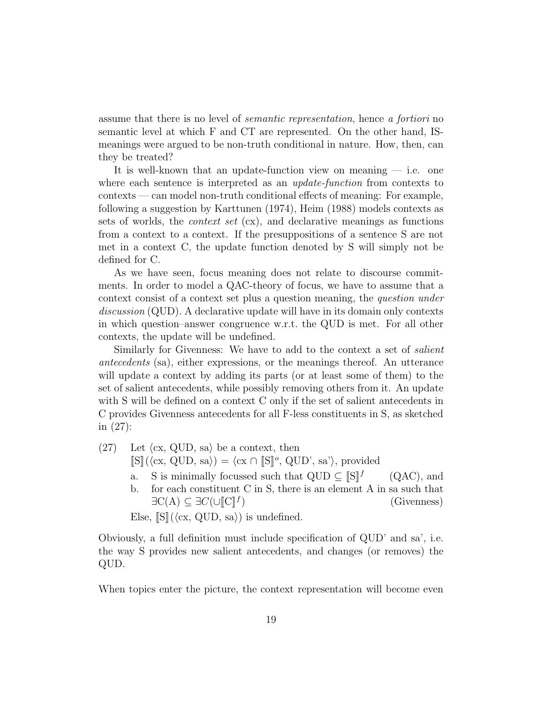assume that there is no level of semantic representation, hence a fortiori no semantic level at which F and CT are represented. On the other hand, ISmeanings were argued to be non-truth conditional in nature. How, then, can they be treated?

It is well-known that an update-function view on meaning  $-$  i.e. one where each sentence is interpreted as an *update-function* from contexts to contexts — can model non-truth conditional effects of meaning: For example, following a suggestion by Karttunen (1974), Heim (1988) models contexts as sets of worlds, the *context set*  $(cx)$ , and declarative meanings as functions from a context to a context. If the presuppositions of a sentence S are not met in a context C, the update function denoted by S will simply not be defined for C.

As we have seen, focus meaning does not relate to discourse commitments. In order to model a QAC-theory of focus, we have to assume that a context consist of a context set plus a question meaning, the question under discussion (QUD). A declarative update will have in its domain only contexts in which question–answer congruence w.r.t. the QUD is met. For all other contexts, the update will be undefined.

Similarly for Givenness: We have to add to the context a set of *salient* antecedents (sa), either expressions, or the meanings thereof. An utterance will update a context by adding its parts (or at least some of them) to the set of salient antecedents, while possibly removing others from it. An update with S will be defined on a context C only if the set of salient antecedents in C provides Givenness antecedents for all F-less constituents in S, as sketched in (27):

 $(27)$  Let  $\langle \text{cx}, \text{QUD}, \text{sa} \rangle$  be a context, then

 $\llbracket S \rrbracket(\langle \text{cx}, \text{QUD}, \text{sa} \rangle) = \langle \text{cx} \cap \llbracket S \rrbracket^o, \text{QUD}, \text{sa'} \rangle$ , provided

- a. S is minimally focussed such that  $QUD \subseteq \mathbb{S} \mathbb{I}^f$ (QAC), and
- b. for each constituent C in S, there is an element A in sa such that  $\exists C(A) \subseteq \exists C(\cup [C]^{\dagger})$ ) (Givenness)

Else,  $\llbracket S \rrbracket$  ( $\langle cx, QUD, sa \rangle$ ) is undefined.

Obviously, a full definition must include specification of QUD' and sa', i.e. the way S provides new salient antecedents, and changes (or removes) the QUD.

When topics enter the picture, the context representation will become even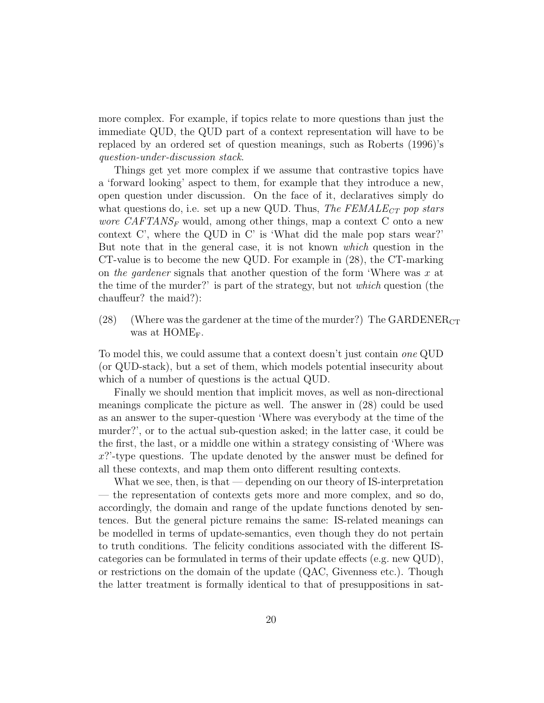more complex. For example, if topics relate to more questions than just the immediate QUD, the QUD part of a context representation will have to be replaced by an ordered set of question meanings, such as Roberts (1996)'s question-under-discussion stack.

Things get yet more complex if we assume that contrastive topics have a 'forward looking' aspect to them, for example that they introduce a new, open question under discussion. On the face of it, declaratives simply do what questions do, i.e. set up a new QUD. Thus, The FEMALE<sub>CT</sub> pop stars *wore CAFTANS<sub>F</sub>* would, among other things, map a context C onto a new context C', where the QUD in C' is 'What did the male pop stars wear?' But note that in the general case, it is not known which question in the CT-value is to become the new QUD. For example in (28), the CT-marking on the gardener signals that another question of the form 'Where was  $x$  at the time of the murder?' is part of the strategy, but not which question (the chauffeur? the maid?):

(28) (Where was the gardener at the time of the murder?) The GARDENER $_{CT}$ was at  $HOME_F$ .

To model this, we could assume that a context doesn't just contain one QUD (or QUD-stack), but a set of them, which models potential insecurity about which of a number of questions is the actual QUD.

Finally we should mention that implicit moves, as well as non-directional meanings complicate the picture as well. The answer in (28) could be used as an answer to the super-question 'Where was everybody at the time of the murder?', or to the actual sub-question asked; in the latter case, it could be the first, the last, or a middle one within a strategy consisting of 'Where was x?'-type questions. The update denoted by the answer must be defined for all these contexts, and map them onto different resulting contexts.

What we see, then, is that  $\sim$  depending on our theory of IS-interpretation — the representation of contexts gets more and more complex, and so do, accordingly, the domain and range of the update functions denoted by sentences. But the general picture remains the same: IS-related meanings can be modelled in terms of update-semantics, even though they do not pertain to truth conditions. The felicity conditions associated with the different IScategories can be formulated in terms of their update effects (e.g. new QUD), or restrictions on the domain of the update (QAC, Givenness etc.). Though the latter treatment is formally identical to that of presuppositions in sat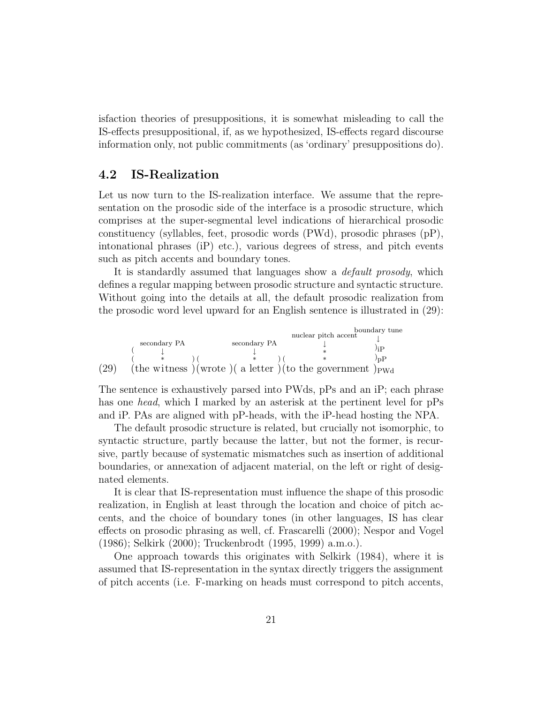isfaction theories of presuppositions, it is somewhat misleading to call the IS-effects presuppositional, if, as we hypothesized, IS-effects regard discourse information only, not public commitments (as 'ordinary' presuppositions do).

#### 4.2 IS-Realization

Let us now turn to the IS-realization interface. We assume that the representation on the prosodic side of the interface is a prosodic structure, which comprises at the super-segmental level indications of hierarchical prosodic constituency (syllables, feet, prosodic words (PWd), prosodic phrases (pP), intonational phrases (iP) etc.), various degrees of stress, and pitch events such as pitch accents and boundary tones.

It is standardly assumed that languages show a *default prosody*, which defines a regular mapping between prosodic structure and syntactic structure. Without going into the details at all, the default prosodic realization from the prosodic word level upward for an English sentence is illustrated in (29):

(29) ( ( (the w secondary PA ↓ \* itness ) ) ( (wrote )( a l secondary PA ↓ \* etter ) ) ( (to the g nuclear pitch accent ↓ \* \* overnment boundary tune ↓  $)_{\rm iP}$  $)_{\rm pP}$  $)_{\rm PWd}$ 

The sentence is exhaustively parsed into PWds, pPs and an iP; each phrase has one *head*, which I marked by an asterisk at the pertinent level for pPs and iP. PAs are aligned with pP-heads, with the iP-head hosting the NPA.

The default prosodic structure is related, but crucially not isomorphic, to syntactic structure, partly because the latter, but not the former, is recursive, partly because of systematic mismatches such as insertion of additional boundaries, or annexation of adjacent material, on the left or right of designated elements.

It is clear that IS-representation must influence the shape of this prosodic realization, in English at least through the location and choice of pitch accents, and the choice of boundary tones (in other languages, IS has clear effects on prosodic phrasing as well, cf. Frascarelli (2000); Nespor and Vogel (1986); Selkirk (2000); Truckenbrodt (1995, 1999) a.m.o.).

One approach towards this originates with Selkirk (1984), where it is assumed that IS-representation in the syntax directly triggers the assignment of pitch accents (i.e. F-marking on heads must correspond to pitch accents,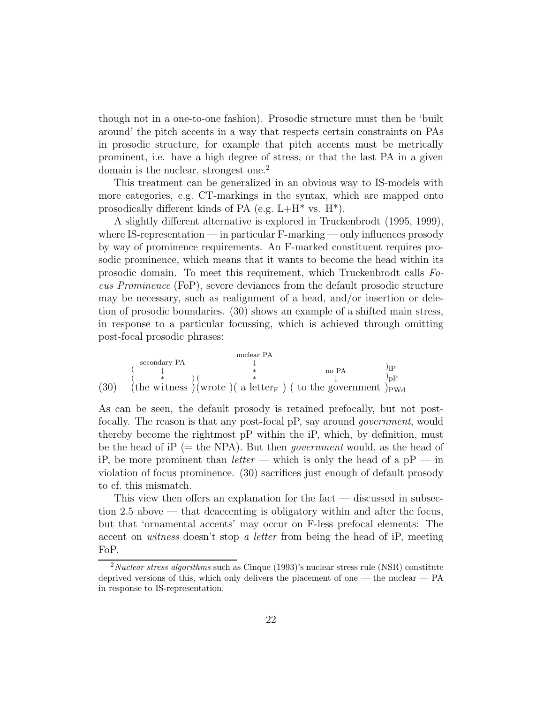though not in a one-to-one fashion). Prosodic structure must then be 'built around' the pitch accents in a way that respects certain constraints on PAs in prosodic structure, for example that pitch accents must be metrically prominent, i.e. have a high degree of stress, or that the last PA in a given domain is the nuclear, strongest one.<sup>2</sup>

This treatment can be generalized in an obvious way to IS-models with more categories, e.g. CT-markings in the syntax, which are mapped onto prosodically different kinds of PA (e.g.  $L+H^*$  vs.  $H^*$ ).

A slightly different alternative is explored in Truckenbrodt (1995, 1999), where IS-representation — in particular F-marking — only influences prosody by way of prominence requirements. An F-marked constituent requires prosodic prominence, which means that it wants to become the head within its prosodic domain. To meet this requirement, which Truckenbrodt calls Focus Prominence (FoP), severe deviances from the default prosodic structure may be necessary, such as realignment of a head, and/or insertion or deletion of prosodic boundaries. (30) shows an example of a shifted main stress, in response to a particular focussing, which is achieved through omitting post-focal prosodic phrases:

$$
(30) \quad \begin{array}{ccc}\n & \text{nuclear PA} & \text{pA} & \text{pB} \\
& \downarrow & \text{pC} & \text{pC} \\
& \downarrow & \text{pD} & \text{pD} \\
& \text{(the witness)} (\text{wrote}) (\text{ a letter}_{F}) (\text{ to the government } )_{\text{PWA}} & \text{pC} \\
& \downarrow & \text{pD} & \text{pD} \\
& \downarrow & \text{pD} & \text{pD} \\
& \downarrow & \text{pD} & \text{pD} \\
& \downarrow & \text{pD} & \text{pD} \\
& \downarrow & \text{pD} & \text{pD} \\
& \downarrow & \text{pD} & \text{pD} \\
& \downarrow & \text{pD} & \text{pD} \\
& \downarrow & \text{pD} & \text{pD} \\
& \downarrow & \text{pD} & \text{pD} \\
& \downarrow & \text{pD} & \text{pD} \\
& \downarrow & \text{pD} & \text{pD} \\
& \downarrow & \text{pD} & \text{pD} \\
& \downarrow & \text{pD} & \text{pD} \\
& \downarrow & \text{pD} & \text{pD} \\
& \downarrow & \text{pD} & \text{pD} \\
& \downarrow & \text{pD} & \text{pD} \\
& \downarrow & \text{pD} & \text{pD} \\
& \downarrow & \text{pD} & \text{pD} \\
& \downarrow & \text{pD} & \text{pD} \\
& \downarrow & \text{pD} & \text{pD} \\
& \downarrow & \text{pD} & \text{pD} \\
& \downarrow & \text{pD} & \text{pD} \\
& \downarrow & \text{pD} & \text{pD} \\
& \downarrow & \text{pD} & \text{pD} \\
& \downarrow & \text{pD} & \text{pD} \\
& \downarrow & \text{pD} & \text{pD} \\
& \downarrow & \text{pD} & \text{pD} \\
& \downarrow & \text{pD} & \text{pD} \\
& \downarrow & \text{pD} & \text{pD} \\
& \downarrow & \text{pD} & \text{pD} \\
& \downarrow & \text{pD} & \text{pD} \\
& \downarrow & \text{pD} & \text{pD} \\
& \downarrow & \text{pD} & \text{pD} \\
& \downarrow & \text{pD} & \text
$$

As can be seen, the default prosody is retained prefocally, but not postfocally. The reason is that any post-focal pP, say around government, would thereby become the rightmost pP within the iP, which, by definition, must be the head of iP (= the NPA). But then *government* would, as the head of iP, be more prominent than *letter* — which is only the head of a  $pP$  — in violation of focus prominence. (30) sacrifices just enough of default prosody to cf. this mismatch.

This view then offers an explanation for the fact — discussed in subsection 2.5 above — that deaccenting is obligatory within and after the focus, but that 'ornamental accents' may occur on F-less prefocal elements: The accent on witness doesn't stop a letter from being the head of iP, meeting FoP.

 $2$ Nuclear stress algorithms such as Cinque (1993)'s nuclear stress rule (NSR) constitute deprived versions of this, which only delivers the placement of one — the nuclear —  $PA$ in response to IS-representation.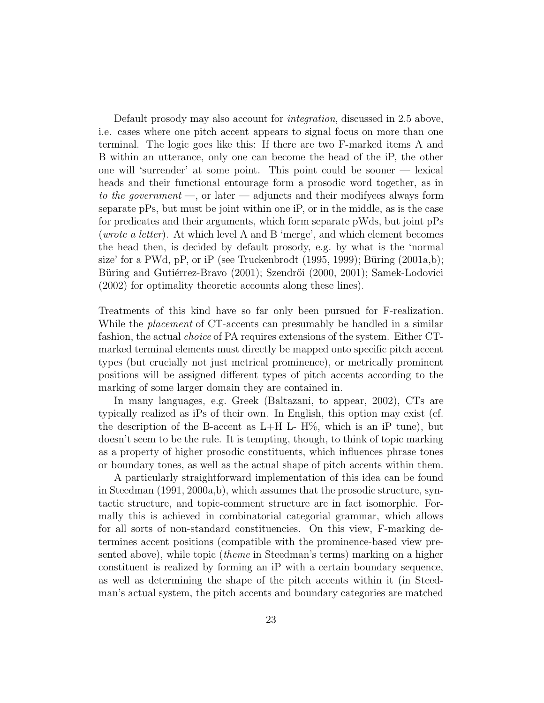Default prosody may also account for integration, discussed in 2.5 above, i.e. cases where one pitch accent appears to signal focus on more than one terminal. The logic goes like this: If there are two F-marked items A and B within an utterance, only one can become the head of the iP, the other one will 'surrender' at some point. This point could be sooner — lexical heads and their functional entourage form a prosodic word together, as in to the government  $\sim$ , or later  $\sim$  adjuncts and their modifyees always form separate pPs, but must be joint within one iP, or in the middle, as is the case for predicates and their arguments, which form separate pWds, but joint pPs (wrote a letter). At which level A and B 'merge', and which element becomes the head then, is decided by default prosody, e.g. by what is the 'normal size' for a PWd, pP, or iP (see Truckenbrodt  $(1995, 1999)$ ; Büring  $(2001a,b)$ ; Büring and Gutiérrez-Bravo (2001); Szendrői (2000, 2001); Samek-Lodovici (2002) for optimality theoretic accounts along these lines).

Treatments of this kind have so far only been pursued for F-realization. While the *placement* of CT-accents can presumably be handled in a similar fashion, the actual choice of PA requires extensions of the system. Either CTmarked terminal elements must directly be mapped onto specific pitch accent types (but crucially not just metrical prominence), or metrically prominent positions will be assigned different types of pitch accents according to the marking of some larger domain they are contained in.

In many languages, e.g. Greek (Baltazani, to appear, 2002), CTs are typically realized as iPs of their own. In English, this option may exist (cf. the description of the B-accent as  $L+H$  L- H\%, which is an iP tune), but doesn't seem to be the rule. It is tempting, though, to think of topic marking as a property of higher prosodic constituents, which influences phrase tones or boundary tones, as well as the actual shape of pitch accents within them.

A particularly straightforward implementation of this idea can be found in Steedman (1991, 2000a,b), which assumes that the prosodic structure, syntactic structure, and topic-comment structure are in fact isomorphic. Formally this is achieved in combinatorial categorial grammar, which allows for all sorts of non-standard constituencies. On this view, F-marking determines accent positions (compatible with the prominence-based view presented above), while topic (theme in Steedman's terms) marking on a higher constituent is realized by forming an iP with a certain boundary sequence, as well as determining the shape of the pitch accents within it (in Steedman's actual system, the pitch accents and boundary categories are matched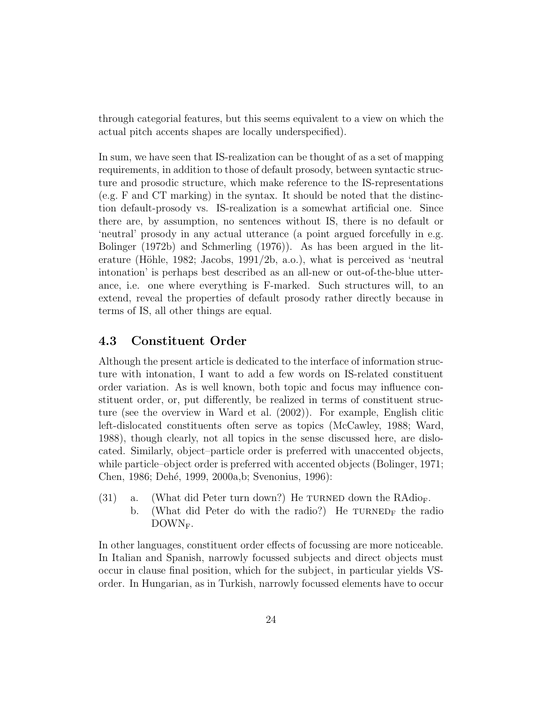through categorial features, but this seems equivalent to a view on which the actual pitch accents shapes are locally underspecified).

In sum, we have seen that IS-realization can be thought of as a set of mapping requirements, in addition to those of default prosody, between syntactic structure and prosodic structure, which make reference to the IS-representations (e.g. F and CT marking) in the syntax. It should be noted that the distinction default-prosody vs. IS-realization is a somewhat artificial one. Since there are, by assumption, no sentences without IS, there is no default or 'neutral' prosody in any actual utterance (a point argued forcefully in e.g. Bolinger (1972b) and Schmerling (1976)). As has been argued in the literature (Höhle, 1982; Jacobs, 1991/2b, a.o.), what is perceived as 'neutral intonation' is perhaps best described as an all-new or out-of-the-blue utterance, i.e. one where everything is F-marked. Such structures will, to an extend, reveal the properties of default prosody rather directly because in terms of IS, all other things are equal.

### 4.3 Constituent Order

Although the present article is dedicated to the interface of information structure with intonation, I want to add a few words on IS-related constituent order variation. As is well known, both topic and focus may influence constituent order, or, put differently, be realized in terms of constituent structure (see the overview in Ward et al. (2002)). For example, English clitic left-dislocated constituents often serve as topics (McCawley, 1988; Ward, 1988), though clearly, not all topics in the sense discussed here, are dislocated. Similarly, object–particle order is preferred with unaccented objects, while particle–object order is preferred with accented objects (Bolinger, 1971; Chen, 1986; Dehé, 1999, 2000a, b; Svenonius, 1996):

(31) a. (What did Peter turn down?) He TURNED down the RAdio<sub>F</sub>. b. (What did Peter do with the radio?) He  $TURNED_F$  the radio DOWN<sub>F</sub>.

In other languages, constituent order effects of focussing are more noticeable. In Italian and Spanish, narrowly focussed subjects and direct objects must occur in clause final position, which for the subject, in particular yields VSorder. In Hungarian, as in Turkish, narrowly focussed elements have to occur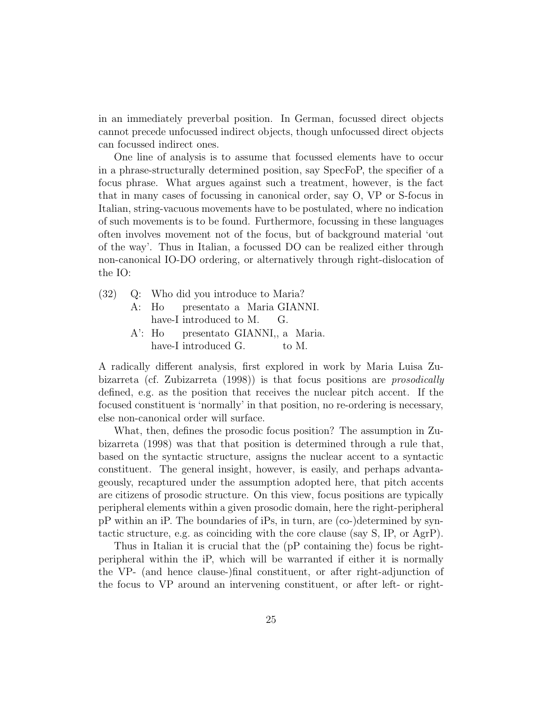in an immediately preverbal position. In German, focussed direct objects cannot precede unfocussed indirect objects, though unfocussed direct objects can focussed indirect ones.

One line of analysis is to assume that focussed elements have to occur in a phrase-structurally determined position, say SpecFoP, the specifier of a focus phrase. What argues against such a treatment, however, is the fact that in many cases of focussing in canonical order, say O, VP or S-focus in Italian, string-vacuous movements have to be postulated, where no indication of such movements is to be found. Furthermore, focussing in these languages often involves movement not of the focus, but of background material 'out of the way'. Thus in Italian, a focussed DO can be realized either through non-canonical IO-DO ordering, or alternatively through right-dislocation of the IO:

- (32) Q: Who did you introduce to Maria? A: Ho presentato a Maria GIANNI.
	- have-I introduced to M. G.
	- A': Ho have-I introduced G. presentato GIANNI,, a Maria. to M.

A radically different analysis, first explored in work by Maria Luisa Zubizarreta (cf. Zubizarreta (1998)) is that focus positions are prosodically defined, e.g. as the position that receives the nuclear pitch accent. If the focused constituent is 'normally' in that position, no re-ordering is necessary, else non-canonical order will surface.

What, then, defines the prosodic focus position? The assumption in Zubizarreta (1998) was that that position is determined through a rule that, based on the syntactic structure, assigns the nuclear accent to a syntactic constituent. The general insight, however, is easily, and perhaps advantageously, recaptured under the assumption adopted here, that pitch accents are citizens of prosodic structure. On this view, focus positions are typically peripheral elements within a given prosodic domain, here the right-peripheral pP within an iP. The boundaries of iPs, in turn, are (co-)determined by syntactic structure, e.g. as coinciding with the core clause (say S, IP, or AgrP).

Thus in Italian it is crucial that the (pP containing the) focus be rightperipheral within the iP, which will be warranted if either it is normally the VP- (and hence clause-)final constituent, or after right-adjunction of the focus to VP around an intervening constituent, or after left- or right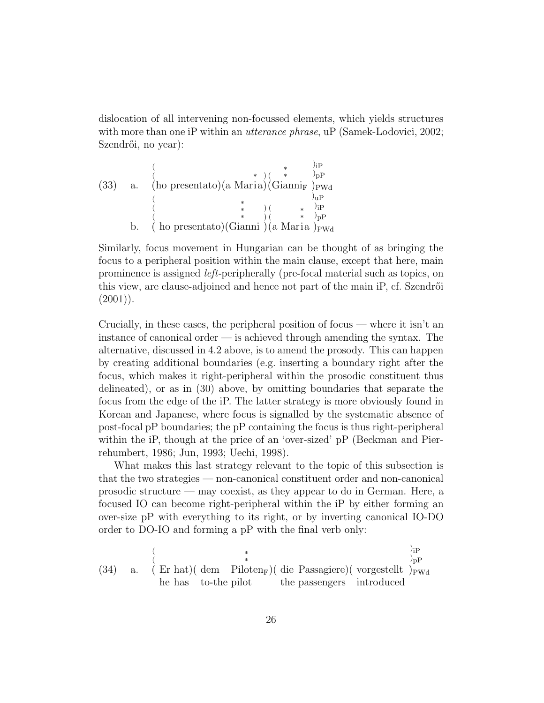dislocation of all intervening non-focussed elements, which yields structures with more than one iP within an *utterance phrase*, uP (Samek-Lodovici, 2002; Szendrői, no year):

|      |             |                                                               | $)_{\rm iP}$ |
|------|-------------|---------------------------------------------------------------|--------------|
|      |             |                                                               |              |
| (33) | $a_{\cdot}$ | (ho presentato)(a Maria)(Gianni <sub>F</sub> ) <sub>PWd</sub> |              |
|      |             |                                                               |              |
|      |             |                                                               | $)_{iP}$     |
|      |             |                                                               |              |
|      | b.          | $\dot{ }$ ho presentato)(Gianni)(a Maria) <sub>PWd</sub>      |              |

Similarly, focus movement in Hungarian can be thought of as bringing the focus to a peripheral position within the main clause, except that here, main prominence is assigned left-peripherally (pre-focal material such as topics, on this view, are clause-adjoined and hence not part of the main iP, cf. Szendrői  $(2001)$ ).

Crucially, in these cases, the peripheral position of focus — where it isn't an instance of canonical order — is achieved through amending the syntax. The alternative, discussed in 4.2 above, is to amend the prosody. This can happen by creating additional boundaries (e.g. inserting a boundary right after the focus, which makes it right-peripheral within the prosodic constituent thus delineated), or as in (30) above, by omitting boundaries that separate the focus from the edge of the iP. The latter strategy is more obviously found in Korean and Japanese, where focus is signalled by the systematic absence of post-focal pP boundaries; the pP containing the focus is thus right-peripheral within the iP, though at the price of an 'over-sized' pP (Beckman and Pierrehumbert, 1986; Jun, 1993; Uechi, 1998).

What makes this last strategy relevant to the topic of this subsection is that the two strategies — non-canonical constituent order and non-canonical prosodic structure — may coexist, as they appear to do in German. Here, a focused IO can become right-peripheral within the iP by either forming an over-size pP with everything to its right, or by inverting canonical IO-DO order to DO-IO and forming a pP with the final verb only:

(34) a. 
$$
\begin{array}{ccc}\n & \ast & \text{or} \\
& \ast & \text{or} \\
& \text{if} \\
& \text{if} \\
& \text{if} \\
& \text{if} \\
& \text{if} \\
& \text{if} \\
& \text{if} \\
& \text{if} \\
& \text{if} \\
& \text{if} \\
& \text{if} \\
& \text{if} \\
& \text{if} \\
& \text{if} \\
& \text{if} \\
& \text{if} \\
& \text{if} \\
& \text{if} \\
& \text{if} \\
& \text{if} \\
& \text{if} \\
& \text{if} \\
& \text{if} \\
& \text{if} \\
& \text{if} \\
& \text{if} \\
& \text{if} \\
& \text{if} \\
& \text{if} \\
& \text{if} \\
& \text{if} \\
& \text{if} \\
& \text{if} \\
& \text{if} \\
& \text{if} \\
& \text{if} \\
& \text{if} \\
& \text{if} \\
& \text{if} \\
& \text{if} \\
& \text{if} \\
& \text{if} \\
& \text{if} \\
& \text{if} \\
& \text{if} \\
& \text{if} \\
& \text{if} \\
& \text{if} \\
& \text{if} \\
& \text{if} \\
& \text{if} \\
& \text{if} \\
& \text{if} \\
& \text{if} \\
& \text{if} \\
& \text{if} \\
& \text{if} \\
& \text{if} \\
& \text{if} \\
& \text{if} \\
& \text{if} \\
& \text{if} \\
& \text{if} \\
& \text{if} \\
& \text{if} \\
& \text{if} \\
& \text{if} \\
& \text{if} \\
& \text{if} \\
& \text{if} \\
& \text{if} \\
& \text{if} \\
& \text{if} \\
& \text{if} \\
& \text{if} \\
& \text{if} \\
& \text{if} \\
& \text{if} \\
& \text{if} \\
& \text{if} \\
& \text{if} \\
& \text{if} \\
& \text{if} \\
& \text{if} \\
& \text{if} \\
& \text{if} \\
& \text{if} \\
& \text{if} \\
& \text{if} \\
& \text{if} \\
& \text{if} \\
& \text{if} \\
& \text{if} \\
& \text{if} \\
& \text{if} \\
& \text{if} \\
& \text{if} \\
& \text{if} \\
& \text{if} \\
& \text{if} \\
& \text{if} \\
& \text{if} \\
& \text{if} \\
& \text{if
$$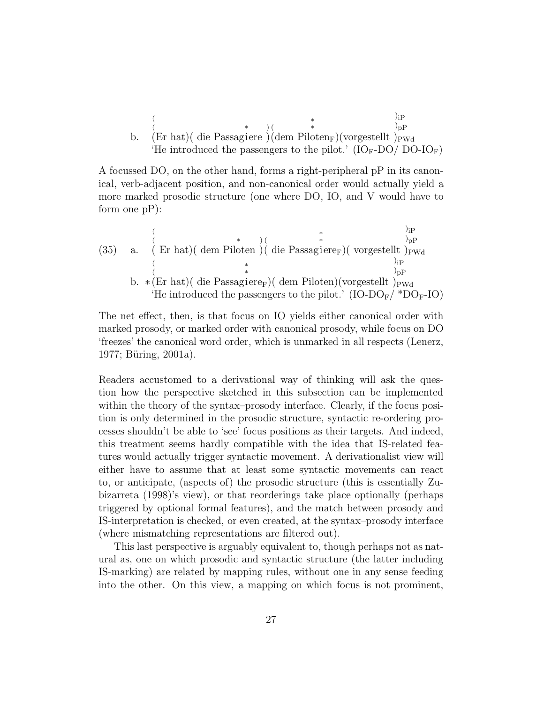b. (Er hat) ( die Passagiere) 
$$
(\begin{array}{c}\n * \\
\text{(er hat)} \\
\text{(er hat)}\n \end{array})
$$
 (e  
\n $(\begin{array}{c}\n * \\
\text{(er hat)} \\
\text{(de Passagiere)}\n \end{array})$  (dem Piloten<sub>F</sub>) (vorgestellt)<sub>PWd</sub>  
\n $(\text{IO}_F\text{-DO}/\text{DO}\text{-IO}_F)$ 

A focussed DO, on the other hand, forms a right-peripheral pP in its canonical, verb-adjacent position, and non-canonical order would actually yield a more marked prosodic structure (one where DO, IO, and V would have to form one pP):

(35) a. 
$$
\begin{array}{ccc}\n & \text{(a)} & \text{(b)} & \text{(c)} & \text{(d)} & \text{(d)} & \text{(e)} \\
& \text{(b)} & \text{(d)} & \text{(e)} & \text{(f)} & \text{(f)} & \text{(f)} \\
& \text{(f)} & \text{(g)} & \text{(h)} & \text{(h)} & \text{(h)} \\
& \text{(h)} & \text{(h)} & \text{(h)} & \text{(h)} & \text{(h)} \\
& \text{(i)} & \text{(i)} & \text{(i)} & \text{(i)} & \text{(i)} \\
& \text{(i)} & \text{(i)} & \text{(i)} & \text{(i)} & \text{(i)} \\
& \text{(i)} & \text{(i)} & \text{(i)} & \text{(i)} & \text{(i)} \\
& \text{(i)} & \text{(i)} & \text{(i)} & \text{(i)} & \text{(i)} & \text{(i)} \\
& \text{(i)} & \text{(i)} & \text{(i)} & \text{(i)} & \text{(i)} & \text{(i)} & \text{(i)} \\
& \text{(i)} & \text{(i)} & \text{(i)} & \text{(i)} & \text{(i)} & \text{(i)} & \text{(i)} \\
& \text{(i)} & \text{(i)} & \text{(i)} & \text{(i)} & \text{(i)} & \text{(i)} & \text{(i)} & \text{(i)} \\
& \text{(i)} & \text{(i)} & \text{(i)} & \text{(i)} & \text{(i)} & \text{(i)} & \text{(i)} & \text{(i)} \\
& \text{(i)} & \text{(i)} & \text{(i)} & \text{(i)} & \text{(i)} & \text{(i)} & \text{(i)} & \text{(i)} & \text{(i)} \\
& \text{(i)} & \text{(i)} & \text{(i)} & \text{(i)} & \text{(i)} & \text{(i)} & \text{(i)} & \text{(i)} & \text{(i)} & \text{(i)} & \text{(i)} \\
& \text{(i)} & \text{(i)} & \text{(i)} & \text{(i)} & \text{(i)} & \text{(i)} & \text{(i)} & \text{(i)} & \text{(i)} & \text{(i)} & \text{(i)} \\
& \text{(i)} & \text{(i)} & \text{(i)} & \text{(i)} & \text{(i)} & \text{(i)} & \text{(i)} & \text{(i)} & \text{(i)} & \text{(i)} & \text{(i)} \\
& \text{(i)} & \text{(i)} & \text{(i)} & \text{(i)} & \text{(i)} & \text{(i)} & \text{(
$$

The net effect, then, is that focus on IO yields either canonical order with marked prosody, or marked order with canonical prosody, while focus on DO 'freezes' the canonical word order, which is unmarked in all respects (Lenerz,  $1977$ ; Büring,  $2001a$ ).

Readers accustomed to a derivational way of thinking will ask the question how the perspective sketched in this subsection can be implemented within the theory of the syntax–prosody interface. Clearly, if the focus position is only determined in the prosodic structure, syntactic re-ordering processes shouldn't be able to 'see' focus positions as their targets. And indeed, this treatment seems hardly compatible with the idea that IS-related features would actually trigger syntactic movement. A derivationalist view will either have to assume that at least some syntactic movements can react to, or anticipate, (aspects of) the prosodic structure (this is essentially Zubizarreta (1998)'s view), or that reorderings take place optionally (perhaps triggered by optional formal features), and the match between prosody and IS-interpretation is checked, or even created, at the syntax–prosody interface (where mismatching representations are filtered out).

This last perspective is arguably equivalent to, though perhaps not as natural as, one on which prosodic and syntactic structure (the latter including IS-marking) are related by mapping rules, without one in any sense feeding into the other. On this view, a mapping on which focus is not prominent,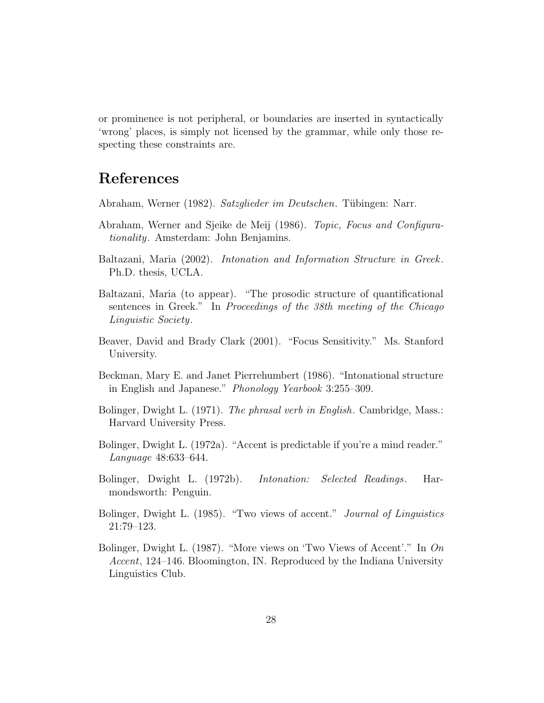or prominence is not peripheral, or boundaries are inserted in syntactically 'wrong' places, is simply not licensed by the grammar, while only those respecting these constraints are.

# References

- Abraham, Werner (1982). Satzglieder im Deutschen. Tübingen: Narr.
- Abraham, Werner and Sjeike de Meij (1986). Topic, Focus and Configurationality. Amsterdam: John Benjamins.
- Baltazani, Maria (2002). Intonation and Information Structure in Greek. Ph.D. thesis, UCLA.
- Baltazani, Maria (to appear). "The prosodic structure of quantificational sentences in Greek." In Proceedings of the 38th meeting of the Chicago Linguistic Society.
- Beaver, David and Brady Clark (2001). "Focus Sensitivity." Ms. Stanford University.
- Beckman, Mary E. and Janet Pierrehumbert (1986). "Intonational structure in English and Japanese." Phonology Yearbook 3:255–309.
- Bolinger, Dwight L. (1971). The phrasal verb in English. Cambridge, Mass.: Harvard University Press.
- Bolinger, Dwight L. (1972a). "Accent is predictable if you're a mind reader." Language 48:633–644.
- Bolinger, Dwight L. (1972b). Intonation: Selected Readings. Harmondsworth: Penguin.
- Bolinger, Dwight L. (1985). "Two views of accent." Journal of Linguistics 21:79–123.
- Bolinger, Dwight L. (1987). "More views on 'Two Views of Accent'." In On Accent, 124–146. Bloomington, IN. Reproduced by the Indiana University Linguistics Club.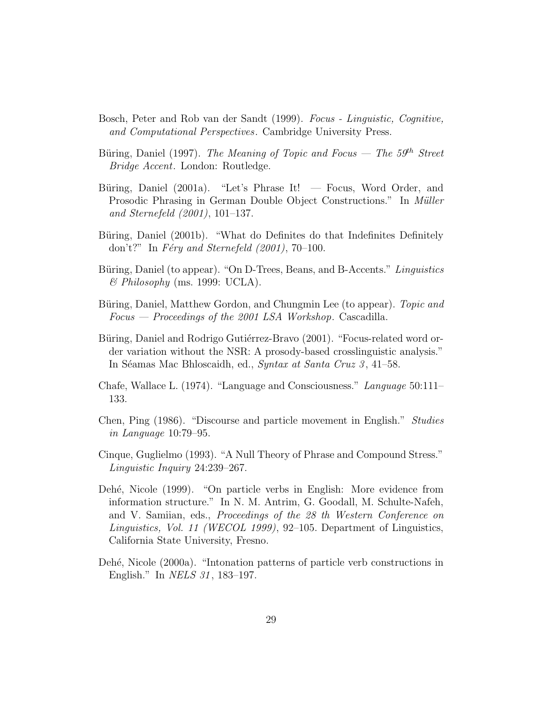- Bosch, Peter and Rob van der Sandt (1999). Focus Linguistic, Cognitive, and Computational Perspectives. Cambridge University Press.
- Büring, Daniel (1997). The Meaning of Topic and Focus The  $59<sup>th</sup>$  Street Bridge Accent. London: Routledge.
- Büring, Daniel (2001a). "Let's Phrase It!  $-$  Focus, Word Order, and Prosodic Phrasing in German Double Object Constructions." In Müller and Sternefeld (2001), 101–137.
- Büring, Daniel (2001b). "What do Definites do that Indefinites Definitely don't?" In Féry and Sternefeld  $(2001)$ , 70–100.
- Büring, Daniel (to appear). "On D-Trees, Beans, and B-Accents." Linguistics  $\&$  Philosophy (ms. 1999: UCLA).
- Büring, Daniel, Matthew Gordon, and Chungmin Lee (to appear). Topic and  $Focus - Proceedings of the 2001 LSA Workshop$ . Cascadilla.
- Büring, Daniel and Rodrigo Gutiérrez-Bravo (2001). "Focus-related word order variation without the NSR: A prosody-based crosslinguistic analysis." In Séamas Mac Bhloscaidh, ed., Syntax at Santa Cruz 3, 41–58.
- Chafe, Wallace L. (1974). "Language and Consciousness." Language 50:111– 133.
- Chen, Ping (1986). "Discourse and particle movement in English." Studies in Language 10:79–95.
- Cinque, Guglielmo (1993). "A Null Theory of Phrase and Compound Stress." Linguistic Inquiry 24:239–267.
- Deh´e, Nicole (1999). "On particle verbs in English: More evidence from information structure." In N. M. Antrim, G. Goodall, M. Schulte-Nafeh, and V. Samiian, eds., Proceedings of the 28 th Western Conference on Linguistics, Vol. 11 (WECOL 1999), 92–105. Department of Linguistics, California State University, Fresno.
- Dehé, Nicole (2000a). "Intonation patterns of particle verb constructions in English." In *NELS 31*, 183–197.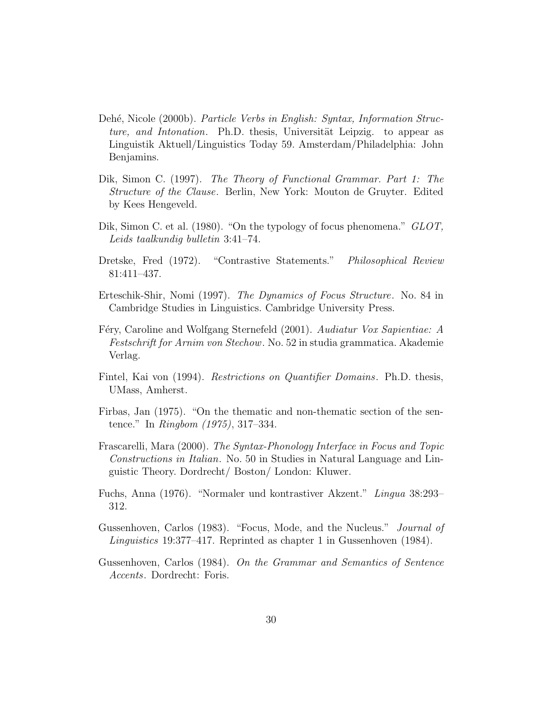- Dehé, Nicole (2000b). *Particle Verbs in English: Syntax, Information Struc*ture, and Intonation. Ph.D. thesis, Universität Leipzig. to appear as Linguistik Aktuell/Linguistics Today 59. Amsterdam/Philadelphia: John Benjamins.
- Dik, Simon C. (1997). The Theory of Functional Grammar. Part 1: The Structure of the Clause. Berlin, New York: Mouton de Gruyter. Edited by Kees Hengeveld.
- Dik, Simon C. et al. (1980). "On the typology of focus phenomena." GLOT, Leids taalkundig bulletin 3:41–74.
- Dretske, Fred (1972). "Contrastive Statements." Philosophical Review 81:411–437.
- Erteschik-Shir, Nomi (1997). The Dynamics of Focus Structure. No. 84 in Cambridge Studies in Linguistics. Cambridge University Press.
- Féry, Caroline and Wolfgang Sternefeld (2001). Audiatur Vox Sapientiae: A Festschrift for Arnim von Stechow. No. 52 in studia grammatica. Akademie Verlag.
- Fintel, Kai von (1994). Restrictions on Quantifier Domains. Ph.D. thesis, UMass, Amherst.
- Firbas, Jan (1975). "On the thematic and non-thematic section of the sentence." In Ringbom (1975), 317–334.
- Frascarelli, Mara (2000). The Syntax-Phonology Interface in Focus and Topic Constructions in Italian. No. 50 in Studies in Natural Language and Linguistic Theory. Dordrecht/ Boston/ London: Kluwer.
- Fuchs, Anna (1976). "Normaler und kontrastiver Akzent." Lingua 38:293– 312.
- Gussenhoven, Carlos (1983). "Focus, Mode, and the Nucleus." Journal of Linguistics 19:377–417. Reprinted as chapter 1 in Gussenhoven (1984).
- Gussenhoven, Carlos (1984). On the Grammar and Semantics of Sentence Accents. Dordrecht: Foris.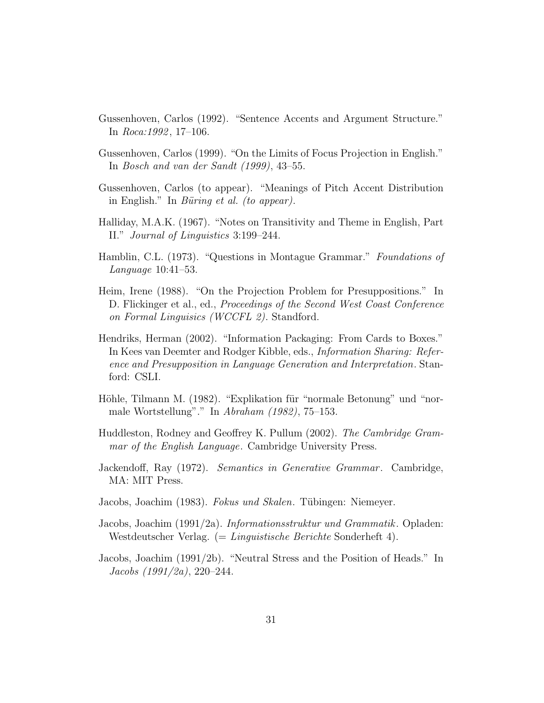- Gussenhoven, Carlos (1992). "Sentence Accents and Argument Structure." In  $Roca:1992, 17-106$ .
- Gussenhoven, Carlos (1999). "On the Limits of Focus Projection in English." In Bosch and van der Sandt (1999), 43–55.
- Gussenhoven, Carlos (to appear). "Meanings of Pitch Accent Distribution in English." In Büring et al. (to appear).
- Halliday, M.A.K. (1967). "Notes on Transitivity and Theme in English, Part II." Journal of Linguistics 3:199–244.
- Hamblin, C.L. (1973). "Questions in Montague Grammar." Foundations of Language 10:41–53.
- Heim, Irene (1988). "On the Projection Problem for Presuppositions." In D. Flickinger et al., ed., *Proceedings of the Second West Coast Conference* on Formal Linguisics (WCCFL 2). Standford.
- Hendriks, Herman (2002). "Information Packaging: From Cards to Boxes." In Kees van Deemter and Rodger Kibble, eds., Information Sharing: Reference and Presupposition in Language Generation and Interpretation. Stanford: CSLI.
- Höhle, Tilmann M. (1982). "Explikation für "normale Betonung" und "normale Wortstellung"." In Abraham (1982), 75–153.
- Huddleston, Rodney and Geoffrey K. Pullum (2002). The Cambridge Grammar of the English Language. Cambridge University Press.
- Jackendoff, Ray (1972). Semantics in Generative Grammar. Cambridge, MA: MIT Press.
- Jacobs, Joachim (1983). Fokus und Skalen. Tübingen: Niemeyer.
- Jacobs, Joachim (1991/2a). Informationsstruktur und Grammatik. Opladen: Westdeutscher Verlag. (= Linguistische Berichte Sonderheft 4).
- Jacobs, Joachim (1991/2b). "Neutral Stress and the Position of Heads." In Jacobs (1991/2a), 220–244.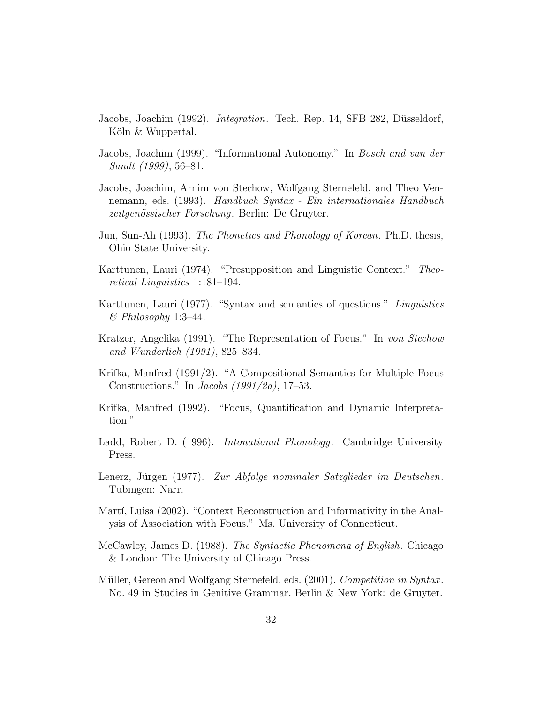- Jacobs, Joachim (1992). *Integration*. Tech. Rep. 14, SFB 282, Düsseldorf, Köln & Wuppertal.
- Jacobs, Joachim (1999). "Informational Autonomy." In Bosch and van der Sandt (1999), 56–81.
- Jacobs, Joachim, Arnim von Stechow, Wolfgang Sternefeld, and Theo Vennemann, eds. (1993). Handbuch Syntax - Ein internationales Handbuch zeitgenössischer Forschung. Berlin: De Gruyter.
- Jun, Sun-Ah (1993). The Phonetics and Phonology of Korean. Ph.D. thesis, Ohio State University.
- Karttunen, Lauri (1974). "Presupposition and Linguistic Context." Theoretical Linguistics 1:181–194.
- Karttunen, Lauri (1977). "Syntax and semantics of questions." Linguistics  $\&$  Philosophy 1:3-44.
- Kratzer, Angelika (1991). "The Representation of Focus." In von Stechow and Wunderlich (1991), 825–834.
- Krifka, Manfred (1991/2). "A Compositional Semantics for Multiple Focus Constructions." In *Jacobs*  $(1991/2a)$ , 17–53.
- Krifka, Manfred (1992). "Focus, Quantification and Dynamic Interpretation."
- Ladd, Robert D. (1996). *Intonational Phonology*. Cambridge University Press.
- Lenerz, Jürgen (1977). Zur Abfolge nominaler Satzglieder im Deutschen. Tübingen: Narr.
- Martí, Luisa (2002). "Context Reconstruction and Informativity in the Analysis of Association with Focus." Ms. University of Connecticut.
- McCawley, James D. (1988). The Syntactic Phenomena of English. Chicago & London: The University of Chicago Press.
- Müller, Gereon and Wolfgang Sternefeld, eds. (2001). Competition in Syntax. No. 49 in Studies in Genitive Grammar. Berlin & New York: de Gruyter.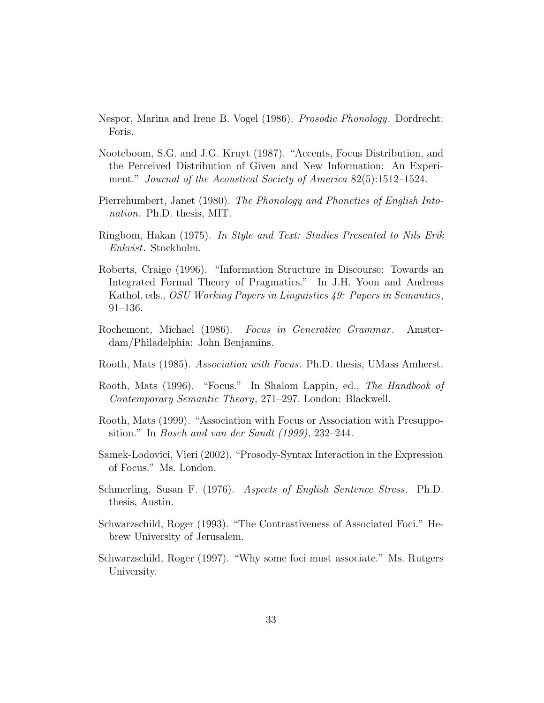- Nespor, Marina and Irene B. Vogel (1986). Prosodic Phonology. Dordrecht: Foris.
- Nooteboom, S.G. and J.G. Kruyt (1987). "Accents, Focus Distribution, and the Perceived Distribution of Given and New Information: An Experiment." Journal of the Acoustical Society of America 82(5):1512–1524.
- Pierrehumbert, Janet (1980). The Phonology and Phonetics of English Intonation. Ph.D. thesis, MIT.
- Ringbom, Hakan (1975). In Style and Text: Studies Presented to Nils Erik Enkvist. Stockholm.
- Roberts, Craige (1996). "Information Structure in Discourse: Towards an Integrated Formal Theory of Pragmatics." In J.H. Yoon and Andreas Kathol, eds., OSU Working Papers in Linguistics 49: Papers in Semantics, 91–136.
- Rochemont, Michael (1986). Focus in Generative Grammar. Amsterdam/Philadelphia: John Benjamins.
- Rooth, Mats (1985). Association with Focus. Ph.D. thesis, UMass Amherst.
- Rooth, Mats (1996). "Focus." In Shalom Lappin, ed., The Handbook of Contemporary Semantic Theory, 271–297. London: Blackwell.
- Rooth, Mats (1999). "Association with Focus or Association with Presupposition." In Bosch and van der Sandt (1999), 232–244.
- Samek-Lodovici, Vieri (2002). "Prosody-Syntax Interaction in the Expression of Focus." Ms. London.
- Schmerling, Susan F. (1976). Aspects of English Sentence Stress. Ph.D. thesis, Austin.
- Schwarzschild, Roger (1993). "The Contrastiveness of Associated Foci." Hebrew University of Jerusalem.
- Schwarzschild, Roger (1997). "Why some foci must associate." Ms. Rutgers University.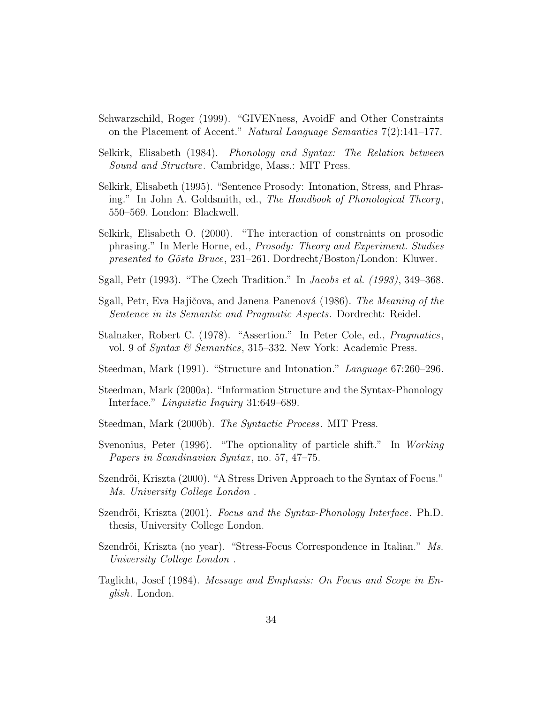- Schwarzschild, Roger (1999). "GIVENness, AvoidF and Other Constraints on the Placement of Accent." Natural Language Semantics 7(2):141–177.
- Selkirk, Elisabeth (1984). Phonology and Syntax: The Relation between Sound and Structure. Cambridge, Mass.: MIT Press.
- Selkirk, Elisabeth (1995). "Sentence Prosody: Intonation, Stress, and Phrasing." In John A. Goldsmith, ed., The Handbook of Phonological Theory, 550–569. London: Blackwell.
- Selkirk, Elisabeth O. (2000). "The interaction of constraints on prosodic phrasing." In Merle Horne, ed., Prosody: Theory and Experiment. Studies presented to Gösta Bruce, 231–261. Dordrecht/Boston/London: Kluwer.
- Sgall, Petr (1993). "The Czech Tradition." In Jacobs et al. (1993), 349–368.
- Sgall, Petr, Eva Hajičova, and Janena Panenová (1986). The Meaning of the Sentence in its Semantic and Pragmatic Aspects. Dordrecht: Reidel.
- Stalnaker, Robert C. (1978). "Assertion." In Peter Cole, ed., Pragmatics, vol. 9 of *Syntax & Semantics*, 315–332. New York: Academic Press.
- Steedman, Mark (1991). "Structure and Intonation." Language 67:260–296.
- Steedman, Mark (2000a). "Information Structure and the Syntax-Phonology Interface." Linguistic Inquiry 31:649–689.
- Steedman, Mark (2000b). The Syntactic Process. MIT Press.
- Svenonius, Peter (1996). "The optionality of particle shift." In Working Papers in Scandinavian Syntax, no. 57, 47–75.
- Szendrői, Kriszta (2000). "A Stress Driven Approach to the Syntax of Focus." Ms. University College London .
- Szendrői, Kriszta (2001). Focus and the Syntax-Phonology Interface. Ph.D. thesis, University College London.
- Szendrői, Kriszta (no year). "Stress-Focus Correspondence in Italian." Ms. University College London .
- Taglicht, Josef (1984). Message and Emphasis: On Focus and Scope in English. London.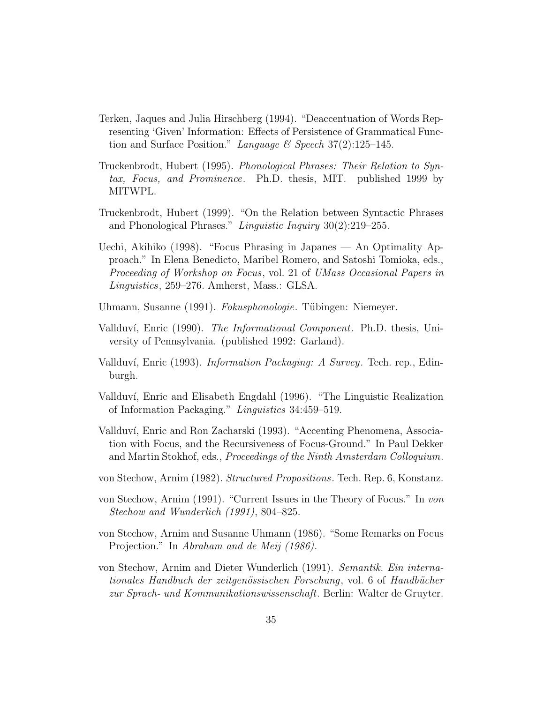- Terken, Jaques and Julia Hirschberg (1994). "Deaccentuation of Words Representing 'Given' Information: Effects of Persistence of Grammatical Function and Surface Position." Language & Speech  $37(2)$ :125–145.
- Truckenbrodt, Hubert (1995). Phonological Phrases: Their Relation to Syntax, Focus, and Prominence. Ph.D. thesis, MIT. published 1999 by MITWPL.
- Truckenbrodt, Hubert (1999). "On the Relation between Syntactic Phrases and Phonological Phrases." Linguistic Inquiry 30(2):219–255.
- Uechi, Akihiko (1998). "Focus Phrasing in Japanes An Optimality Approach." In Elena Benedicto, Maribel Romero, and Satoshi Tomioka, eds., Proceeding of Workshop on Focus, vol. 21 of UMass Occasional Papers in Linguistics, 259–276. Amherst, Mass.: GLSA.
- Uhmann, Susanne (1991). Fokusphonologie. Tübingen: Niemeyer.
- Vallduv´ı, Enric (1990). The Informational Component. Ph.D. thesis, University of Pennsylvania. (published 1992: Garland).
- Vallduví, Enric (1993). *Information Packaging: A Survey*. Tech. rep., Edinburgh.
- Vallduví, Enric and Elisabeth Engdahl (1996). "The Linguistic Realization of Information Packaging." Linguistics 34:459–519.
- Vallduv´ı, Enric and Ron Zacharski (1993). "Accenting Phenomena, Association with Focus, and the Recursiveness of Focus-Ground." In Paul Dekker and Martin Stokhof, eds., Proceedings of the Ninth Amsterdam Colloquium.
- von Stechow, Arnim (1982). Structured Propositions. Tech. Rep. 6, Konstanz.
- von Stechow, Arnim (1991). "Current Issues in the Theory of Focus." In von Stechow and Wunderlich (1991), 804–825.
- von Stechow, Arnim and Susanne Uhmann (1986). "Some Remarks on Focus Projection." In Abraham and de Meij (1986).
- von Stechow, Arnim and Dieter Wunderlich (1991). Semantik. Ein internationales Handbuch der zeitgenössischen Forschung, vol. 6 of Handbücher zur Sprach- und Kommunikationswissenschaft. Berlin: Walter de Gruyter.